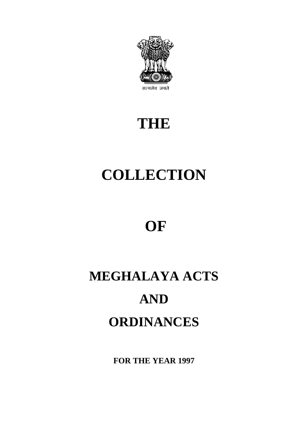

# **THE**

# **COLLECTION**

# **OF**

# **MEGHALAYA ACTS AND ORDINANCES**

**FOR THE YEAR 1997**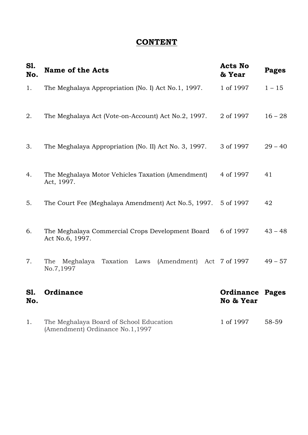## **CONTENT**

| S1.<br>No. | <b>Name of the Acts</b>                                                    | <b>Acts No</b><br>& Year     | <b>Pages</b> |
|------------|----------------------------------------------------------------------------|------------------------------|--------------|
| 1.         | The Meghalaya Appropriation (No. I) Act No.1, 1997.                        | 1 of 1997                    | $1 - 15$     |
| 2.         | The Meghalaya Act (Vote-on-Account) Act No.2, 1997.                        | 2 of 1997                    | $16 - 28$    |
| 3.         | The Meghalaya Appropriation (No. II) Act No. 3, 1997.                      | 3 of 1997                    | $29 - 40$    |
| 4.         | The Meghalaya Motor Vehicles Taxation (Amendment)<br>Act, 1997.            | 4 of 1997                    | 41           |
| 5.         | The Court Fee (Meghalaya Amendment) Act No.5, 1997. 5 of 1997              |                              | 42           |
| 6.         | The Meghalaya Commercial Crops Development Board<br>Act No.6, 1997.        | 6 of 1997                    | $43 - 48$    |
| 7.         | Taxation Laws<br>(Amendment)<br>The<br>Meghalaya<br>No.7,1997              | Act 7 of 1997                | $49 - 57$    |
| S1<br>No.  | Ordinance                                                                  | Ordinance Pages<br>No & Year |              |
| 1.         | The Meghalaya Board of School Education<br>(Amendment) Ordinance No.1,1997 | 1 of 1997                    | 58-59        |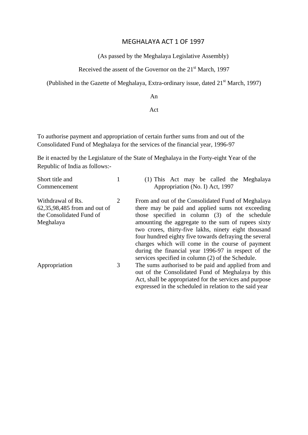#### MEGHALAYA ACT 1 OF 1997

(As passed by the Meghalaya Legislative Assembly)

Received the assent of the Governor on the 21<sup>st</sup> March, 1997

(Published in the Gazette of Meghalaya, Extra-ordinary issue, dated  $21<sup>st</sup>$  March, 1997)

An

#### Act

To authorise payment and appropriation of certain further sums from and out of the Consolidated Fund of Meghalaya for the services of the financial year, 1996-97

Be it enacted by the Legislature of the State of Meghalaya in the Forty-eight Year of the Republic of India as follows:-

| Short title and                                                                            |   | (1) This Act may be called the Meghalaya                                                                                                                                                                                                                                                                                                                                                                                                                                                        |
|--------------------------------------------------------------------------------------------|---|-------------------------------------------------------------------------------------------------------------------------------------------------------------------------------------------------------------------------------------------------------------------------------------------------------------------------------------------------------------------------------------------------------------------------------------------------------------------------------------------------|
| Commencement                                                                               |   | Appropriation (No. I) Act, 1997                                                                                                                                                                                                                                                                                                                                                                                                                                                                 |
| Withdrawal of Rs.<br>62,35,98,485 from and out of<br>the Consolidated Fund of<br>Meghalaya | 2 | From and out of the Consolidated Fund of Meghalaya<br>there may be paid and applied sums not exceeding<br>those specified in column (3) of the schedule<br>amounting the aggregate to the sum of rupees sixty<br>two crores, thirty-five lakhs, ninety eight thousand<br>four hundred eighty five towards defraying the several<br>charges which will come in the course of payment<br>during the financial year 1996-97 in respect of the<br>services specified in column (2) of the Schedule. |
| Appropriation                                                                              | 3 | The sums authorised to be paid and applied from and<br>out of the Consolidated Fund of Meghalaya by this<br>Act, shall be appropriated for the services and purpose                                                                                                                                                                                                                                                                                                                             |

expressed in the scheduled in relation to the said year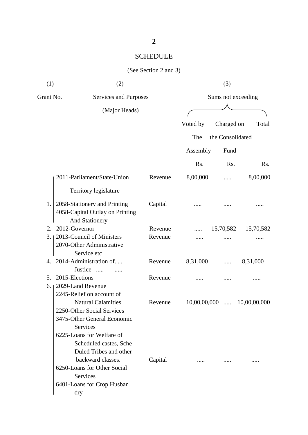| (1)       | (2)                                                                                                                                                                                             |         | (3)                |                  |              |  |
|-----------|-------------------------------------------------------------------------------------------------------------------------------------------------------------------------------------------------|---------|--------------------|------------------|--------------|--|
| Grant No. | Services and Purposes                                                                                                                                                                           |         | Sums not exceeding |                  |              |  |
|           | (Major Heads)                                                                                                                                                                                   |         |                    |                  |              |  |
|           |                                                                                                                                                                                                 |         | Voted by           | Charged on       | Total        |  |
|           |                                                                                                                                                                                                 |         |                    |                  |              |  |
|           |                                                                                                                                                                                                 |         | The                | the Consolidated |              |  |
|           |                                                                                                                                                                                                 |         | Assembly           | Fund             |              |  |
|           |                                                                                                                                                                                                 |         | Rs.                | Rs.              | Rs.          |  |
|           | 2011-Parliament/State/Union                                                                                                                                                                     | Revenue | 8,00,000           |                  | 8,00,000     |  |
|           | Territory legislature                                                                                                                                                                           |         |                    |                  |              |  |
| 1.        | 2058-Stationery and Printing<br>4058-Capital Outlay on Printing<br><b>And Stationery</b>                                                                                                        | Capital |                    |                  |              |  |
| 2.        | 2012-Governor                                                                                                                                                                                   | Revenue |                    | 15,70,582        | 15,70,582    |  |
| 3.        | 2013-Council of Ministers<br>2070-Other Administrative<br>Service etc                                                                                                                           | Revenue |                    |                  |              |  |
| 4.        | 2014-Administration of<br>Justice<br>$\cdots$                                                                                                                                                   | Revenue | 8,31,000           |                  | 8,31,000     |  |
| 5.<br>6.  | 2015-Elections<br>2029-Land Revenue<br>2245-Relief on account of                                                                                                                                | Revenue |                    |                  |              |  |
|           | <b>Natural Calamities</b><br>2250-Other Social Services<br>3475-Other General Economic                                                                                                          | Revenue | 10,00,00,000       | $\cdots$         | 10,00,00,000 |  |
|           | Services<br>6225-Loans for Welfare of<br>Scheduled castes, Sche-<br>Duled Tribes and other<br>backward classes.<br>6250-Loans for Other Social<br>Services<br>6401-Loans for Crop Husban<br>dry | Capital |                    |                  |              |  |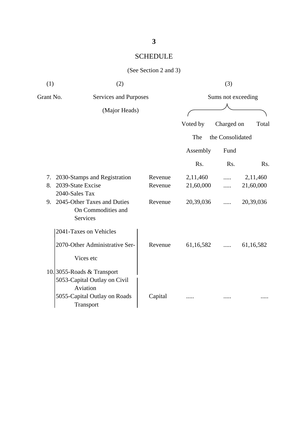| (1)       | (2)                                                                   |         |                    | (3)              |           |  |
|-----------|-----------------------------------------------------------------------|---------|--------------------|------------------|-----------|--|
| Grant No. | Services and Purposes<br>(Major Heads)                                |         | Sums not exceeding |                  |           |  |
|           |                                                                       |         | Voted by           | Charged on       | Total     |  |
|           |                                                                       |         | The                | the Consolidated |           |  |
|           |                                                                       |         | Assembly           | Fund             |           |  |
|           |                                                                       |         | Rs.                | Rs.              | Rs.       |  |
| 7.        | 2030-Stamps and Registration                                          | Revenue | 2,11,460           |                  | 2,11,460  |  |
| 8.        | 2039-State Excise<br>2040-Sales Tax                                   | Revenue | 21,60,000          | .                | 21,60,000 |  |
| 9.        | 2045-Other Taxes and Duties<br>On Commodities and<br><b>Services</b>  | Revenue | 20,39,036          | .                | 20,39,036 |  |
|           | 2041-Taxes on Vehicles                                                |         |                    |                  |           |  |
|           | 2070-Other Administrative Ser-                                        | Revenue | 61,16,582          |                  | 61,16,582 |  |
|           | Vices etc                                                             |         |                    |                  |           |  |
|           | 10.3055-Roads & Transport<br>5053-Capital Outlay on Civil<br>Aviation |         |                    |                  |           |  |
|           | 5055-Capital Outlay on Roads<br>Transport                             | Capital |                    |                  |           |  |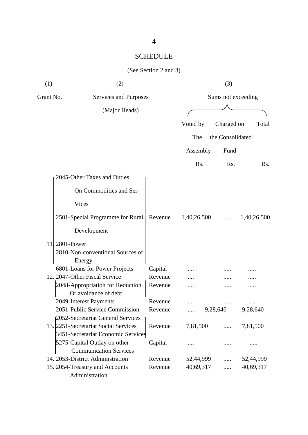| (1)       | (2)                                              |         |             | (3)                |             |
|-----------|--------------------------------------------------|---------|-------------|--------------------|-------------|
| Grant No. | Services and Purposes                            |         |             | Sums not exceeding |             |
|           | (Major Heads)                                    |         |             |                    |             |
|           |                                                  |         | Voted by    | Charged on         | Total       |
|           |                                                  |         | The         | the Consolidated   |             |
|           |                                                  |         |             |                    |             |
|           |                                                  |         | Assembly    | Fund               |             |
|           |                                                  |         | Rs.         | Rs.                | Rs.         |
|           | 2045-Other Taxes and Duties                      |         |             |                    |             |
|           | On Commodities and Ser-                          |         |             |                    |             |
|           | Vices                                            |         |             |                    |             |
|           | 2501-Special Programme for Rural                 | Revenue | 1,40,26,500 |                    | 1,40,26,500 |
|           | Development                                      |         |             |                    |             |
| 11        | 2801-Power                                       |         |             |                    |             |
|           | 2810-Non-conventional Sources of                 |         |             |                    |             |
|           | Energy                                           |         |             |                    |             |
|           | 6801-Loans for Power Projects                    | Capital |             |                    |             |
|           | 12. 2047-Other Fiscal Service                    | Revenue |             |                    |             |
|           | 2048-Appropriation for Reduction                 | Revenue |             |                    |             |
|           | Or avoidance of debt                             |         |             |                    |             |
|           | 2049-Interest Payments                           | Revenue |             |                    |             |
|           | 2051-Public Service Commission                   | Revenue |             | 9,28,640           | 9,28,640    |
|           | 2052-Secretariat General Services                |         |             |                    |             |
|           | 13. 2251-Secretariat Social Services             | Revenue | 7,81,500    | $\cdots$           | 7,81,500    |
|           | 3451-Secretariat Economic Services               |         |             |                    |             |
|           | 5275-Capital Outlay on other                     | Capital |             |                    |             |
|           | <b>Communication Services</b>                    |         |             |                    |             |
|           | 14. 2053-District Administration                 | Revenue | 52,44,999   | .                  | 52,44,999   |
|           | 15. 2054-Treasury and Accounts<br>Administration | Revenue | 40,69,317   | .                  | 40,69,317   |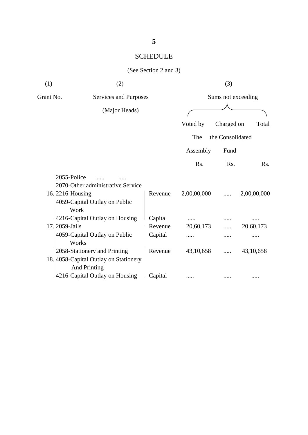| (1)                         | (2)                                                          |         |                  | (3)                |             |
|-----------------------------|--------------------------------------------------------------|---------|------------------|--------------------|-------------|
| Grant No.                   | Services and Purposes                                        |         |                  | Sums not exceeding |             |
|                             | (Major Heads)                                                |         |                  |                    |             |
|                             |                                                              |         | Voted by         | Charged on         | Total       |
|                             |                                                              |         | The              | the Consolidated   |             |
|                             |                                                              |         | Assembly         | Fund               |             |
|                             |                                                              |         | R <sub>s</sub> . | Rs.                | Rs.         |
|                             | 2055-Police                                                  |         |                  |                    |             |
|                             | 2070-Other administrative Service                            |         |                  |                    |             |
| 16.2216-Housing             |                                                              | Revenue | 2,00,00,000      |                    | 2,00,00,000 |
|                             | 4059-Capital Outlay on Public                                |         |                  |                    |             |
|                             | Work                                                         |         |                  |                    |             |
|                             | 4216-Capital Outlay on Housing                               | Capital |                  |                    |             |
| 17. <sub>1</sub> 2059-Jails |                                                              | Revenue | 20,60,173        |                    | 20,60,173   |
|                             | 4059-Capital Outlay on Public<br>Works                       | Capital | .                |                    | .           |
|                             | 2058-Stationery and Printing                                 | Revenue | 43,10,658        |                    | 43,10,658   |
|                             | 18. 4058-Capital Outlay on Stationery<br><b>And Printing</b> |         |                  |                    |             |
|                             | 4216-Capital Outlay on Housing                               | Capital |                  |                    |             |
|                             |                                                              |         |                  |                    |             |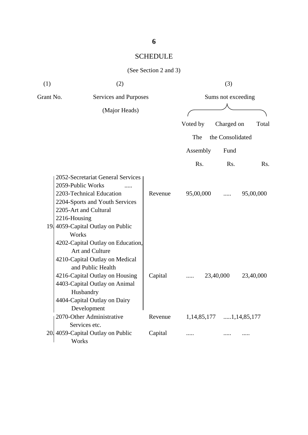| (1)       | (2)                                                                                                                                                                                                                                        |         |                         | (3)              |           |
|-----------|--------------------------------------------------------------------------------------------------------------------------------------------------------------------------------------------------------------------------------------------|---------|-------------------------|------------------|-----------|
| Grant No. | Services and Purposes                                                                                                                                                                                                                      |         | Sums not exceeding      |                  |           |
|           | (Major Heads)                                                                                                                                                                                                                              |         |                         |                  |           |
|           |                                                                                                                                                                                                                                            |         | Voted by                | Charged on       | Total     |
|           |                                                                                                                                                                                                                                            |         | The                     | the Consolidated |           |
|           |                                                                                                                                                                                                                                            |         | Assembly                | Fund             |           |
|           |                                                                                                                                                                                                                                            |         | Rs.                     | Rs.              | Rs.       |
|           | 2052-Secretariat General Services<br>2059-Public Works<br>.<br>2203-Technical Education<br>2204-Sports and Youth Services<br>2205-Art and Cultural<br>2216-Housing<br>19. 4059-Capital Outlay on Public<br>Works                           | Revenue | 95,00,000               | .                | 95,00,000 |
|           | 4202-Capital Outlay on Education,<br>Art and Culture<br>4210-Capital Outlay on Medical<br>and Public Health<br>4216-Capital Outlay on Housing<br>4403-Capital Outlay on Animal<br>Husbandry<br>4404-Capital Outlay on Dairy<br>Development | Capital | .                       | 23,40,000        | 23,40,000 |
|           | 2070-Other Administrative                                                                                                                                                                                                                  | Revenue | 1,14,85,177 1,14,85,177 |                  |           |
|           | Services etc.<br>20. 4059-Capital Outlay on Public<br>Works                                                                                                                                                                                | Capital |                         |                  |           |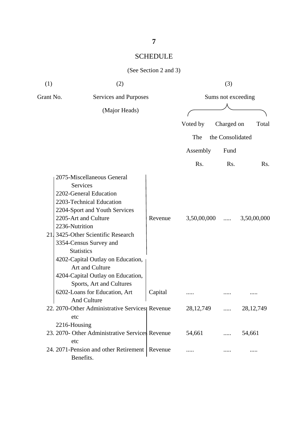| (1)       | (2)                                                                                                                                                                                                                                                                                                                                                                                   |         |                  | (3)                |             |
|-----------|---------------------------------------------------------------------------------------------------------------------------------------------------------------------------------------------------------------------------------------------------------------------------------------------------------------------------------------------------------------------------------------|---------|------------------|--------------------|-------------|
| Grant No. | <b>Services and Purposes</b>                                                                                                                                                                                                                                                                                                                                                          |         |                  | Sums not exceeding |             |
|           | (Major Heads)                                                                                                                                                                                                                                                                                                                                                                         |         |                  |                    |             |
|           |                                                                                                                                                                                                                                                                                                                                                                                       |         | Voted by         | Charged on         | Total       |
|           |                                                                                                                                                                                                                                                                                                                                                                                       |         | The              | the Consolidated   |             |
|           |                                                                                                                                                                                                                                                                                                                                                                                       |         | Assembly         | Fund               |             |
|           |                                                                                                                                                                                                                                                                                                                                                                                       |         | R <sub>s</sub> . | Rs.                | Rs.         |
|           | 2075-Miscellaneous General<br>Services<br>2202-General Education<br>2203-Technical Education<br>2204-Sport and Youth Services<br>2205-Art and Culture<br>2236-Nutrition<br>21. 3425-Other Scientific Research<br>3354-Census Survey and<br><b>Statistics</b><br>4202-Capital Outlay on Education,<br>Art and Culture<br>4204-Capital Outlay on Education,<br>Sports, Art and Cultures | Revenue | 3,50,00,000      | .                  | 3,50,00,000 |
|           | 6202-Loans for Education, Art<br><b>And Culture</b>                                                                                                                                                                                                                                                                                                                                   | Capital |                  |                    |             |
|           | 22. 2070-Other Administrative Services Revenue<br>etc                                                                                                                                                                                                                                                                                                                                 |         | 28, 12, 749      |                    | 28, 12, 749 |
|           | 2216-Housing<br>23. 2070- Other Administrative Services Revenue                                                                                                                                                                                                                                                                                                                       |         | 54,661           |                    | 54,661      |
|           | etc<br>24. 2071-Pension and other Retirement<br>Benefits.                                                                                                                                                                                                                                                                                                                             | Revenue | .                |                    |             |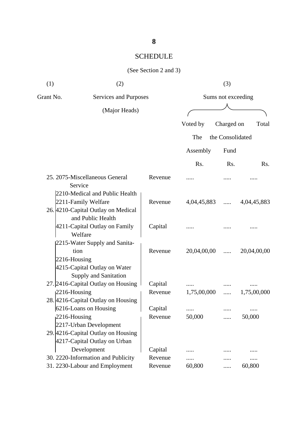| (1)               | (2)                                                                                            |                    |                    | (3)              |                     |
|-------------------|------------------------------------------------------------------------------------------------|--------------------|--------------------|------------------|---------------------|
| Grant No.         | Services and Purposes                                                                          |                    | Sums not exceeding |                  |                     |
|                   | (Major Heads)                                                                                  |                    |                    |                  |                     |
|                   |                                                                                                |                    | Voted by           | Charged on       | Total               |
|                   |                                                                                                |                    | The                | the Consolidated |                     |
|                   |                                                                                                |                    | Assembly           | Fund             |                     |
|                   |                                                                                                |                    | R <sub>s</sub> .   | Rs.              | Rs.                 |
|                   | 25. 2075-Miscellaneous General<br>Service                                                      | Revenue            |                    |                  |                     |
|                   | 2210-Medical and Public Health<br>2211-Family Welfare<br>26. 4210-Capital Outlay on Medical    | Revenue            | 4,04,45,883        |                  | $\dots$ 4,04,45,883 |
|                   | and Public Health<br>4211-Capital Outlay on Family<br>Welfare                                  | Capital            |                    |                  |                     |
| 2216-Housing      | 2215-Water Supply and Sanita-<br>tion<br>4215-Capital Outlay on Water<br>Supply and Sanitation | Revenue            | 20,04,00,00        | $\cdots$         | 20,04,00,00         |
|                   | 27. 2416-Capital Outlay on Housing                                                             | Capital            |                    |                  |                     |
| $ 2216 -$ Housing | 28. 4216-Capital Outlay on Housing                                                             | Revenue            | 1,75,00,000        | .                | 1,75,00,000         |
| $2216$ -Housing   | 6216-Loans on Housing<br>2217-Urban Development                                                | Capital<br>Revenue | 50,000             |                  | 50,000              |
|                   | 29. 4216-Capital Outlay on Housing<br>4217-Capital Outlay on Urban<br>Development              | Capital            | .                  |                  |                     |
|                   | 30. 2220-Information and Publicity                                                             | Revenue<br>Revenue | .<br>60,800        |                  |                     |
|                   | 31. 2230-Labour and Employment                                                                 |                    |                    |                  | 60,800              |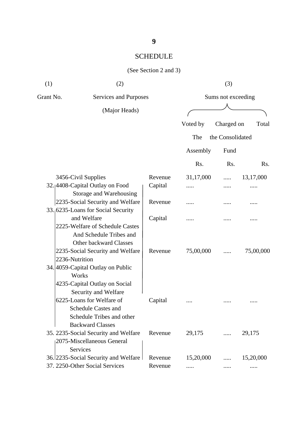| (1)       | (2)                                                                                                             |         | (3)                |                  |                  |  |
|-----------|-----------------------------------------------------------------------------------------------------------------|---------|--------------------|------------------|------------------|--|
| Grant No. | Services and Purposes                                                                                           |         | Sums not exceeding |                  |                  |  |
|           | (Major Heads)                                                                                                   |         |                    |                  |                  |  |
|           |                                                                                                                 |         | Voted by           | Charged on       | Total            |  |
|           |                                                                                                                 |         | The                | the Consolidated |                  |  |
|           |                                                                                                                 |         | Assembly           | Fund             |                  |  |
|           |                                                                                                                 |         | Rs.                | Rs.              | R <sub>s</sub> . |  |
|           | 3456-Civil Supplies                                                                                             | Revenue | 31,17,000          |                  | 13,17,000        |  |
|           | 32.4408-Capital Outlay on Food<br>Storage and Warehousing                                                       | Capital | .                  | .                |                  |  |
|           | 2235-Social Security and Welfare                                                                                | Revenue |                    |                  |                  |  |
|           | 33.6235-Loans for Social Security<br>and Welfare<br>2225-Welfare of Schedule Castes                             | Capital |                    |                  |                  |  |
|           | And Schedule Tribes and<br>Other backward Classes<br>2235-Social Security and Welfare<br>2236-Nutrition         | Revenue | 75,00,000          |                  | 75,00,000        |  |
|           | 34. 4059-Capital Outlay on Public<br>Works<br>4235-Capital Outlay on Social<br>Security and Welfare             |         |                    |                  |                  |  |
|           | 6225-Loans for Welfare of<br><b>Schedule Castes and</b><br>Schedule Tribes and other<br><b>Backward Classes</b> | Capital |                    |                  |                  |  |
|           | 35. 2235-Social Security and Welfare<br>2075-Miscellaneous General<br>Services                                  | Revenue | 29,175             |                  | 29,175           |  |
|           | 36.12235-Social Security and Welfare                                                                            | Revenue | 15,20,000          |                  | 15,20,000        |  |
|           | 37. 2250-Other Social Services                                                                                  | Revenue | .                  |                  |                  |  |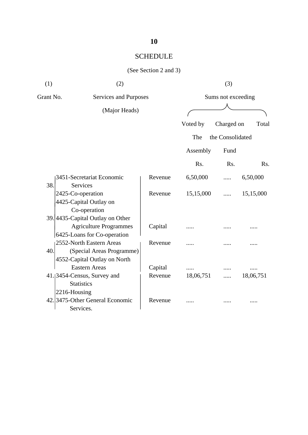#### (See Section 2 and 3)

| (1)       | (2)                              |         |                    | (3)              |           |  |
|-----------|----------------------------------|---------|--------------------|------------------|-----------|--|
| Grant No. | Services and Purposes            |         | Sums not exceeding |                  |           |  |
|           | (Major Heads)                    |         |                    |                  |           |  |
|           |                                  |         | Voted by           | Charged on       | Total     |  |
|           |                                  |         | The                | the Consolidated |           |  |
|           |                                  |         | Assembly           | Fund             |           |  |
|           |                                  |         | Rs.                | Rs.              | Rs.       |  |
|           | 3451-Secretariat Economic        | Revenue | 6,50,000           |                  | 6,50,000  |  |
| 38.       | Services                         |         |                    |                  |           |  |
|           | 2425-Co-operation                | Revenue | 15,15,000          | .                | 15,15,000 |  |
|           | 4425-Capital Outlay on           |         |                    |                  |           |  |
|           | Co-operation                     |         |                    |                  |           |  |
|           | 39. 4435-Capital Outlay on Other |         |                    |                  |           |  |
|           | <b>Agriculture Programmes</b>    | Capital |                    |                  |           |  |
|           | 6425-Loans for Co-operation      |         |                    |                  |           |  |
|           | 2552-North Eastern Areas         | Revenue |                    |                  |           |  |
| 40.       | (Special Areas Programme)        |         |                    |                  |           |  |
|           | 4552-Capital Outlay on North     |         |                    |                  |           |  |
|           | <b>Eastern Areas</b>             | Capital | .                  |                  |           |  |
|           | 41. 3454-Census, Survey and      | Revenue | 18,06,751          |                  | 18,06,751 |  |
|           | <b>Statistics</b>                |         |                    |                  |           |  |
|           | 2216-Housing                     |         |                    |                  |           |  |
|           | 42. 3475-Other General Economic  | Revenue |                    |                  |           |  |
|           | Services.                        |         |                    |                  |           |  |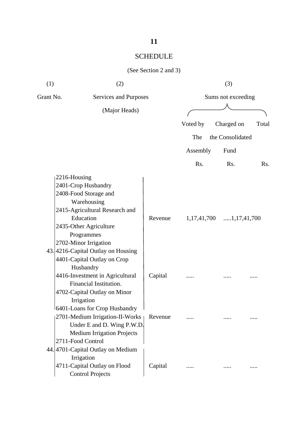| (1)       | (2)                                      |         | (3)                |                        |       |  |
|-----------|------------------------------------------|---------|--------------------|------------------------|-------|--|
| Grant No. | Services and Purposes                    |         | Sums not exceeding |                        |       |  |
|           | (Major Heads)                            |         |                    |                        |       |  |
|           |                                          |         | Voted by           | Charged on             | Total |  |
|           |                                          |         | The                | the Consolidated       |       |  |
|           |                                          |         | Assembly           | Fund                   |       |  |
|           |                                          |         | Rs.                | Rs.                    | Rs.   |  |
|           | 2216-Housing                             |         |                    |                        |       |  |
|           | 2401-Crop Husbandry                      |         |                    |                        |       |  |
|           | 2408-Food Storage and                    |         |                    |                        |       |  |
|           | Warehousing                              |         |                    |                        |       |  |
|           | 2415-Agricultural Research and           |         |                    |                        |       |  |
|           | Education                                | Revenue | 1, 17, 41, 700     | $\dots 1, 17, 41, 700$ |       |  |
|           | 2435-Other Agriculture                   |         |                    |                        |       |  |
|           | Programmes                               |         |                    |                        |       |  |
|           | 2702-Minor Irrigation                    |         |                    |                        |       |  |
|           | 43.4216-Capital Outlay on Housing        |         |                    |                        |       |  |
|           | 4401-Capital Outlay on Crop<br>Husbandry |         |                    |                        |       |  |
|           | 4416-Investment in Agricultural          | Capital |                    |                        |       |  |
|           | Financial Institution.                   |         |                    |                        |       |  |
|           | 4702-Capital Outlay on Minor             |         |                    |                        |       |  |
|           | Irrigation                               |         |                    |                        |       |  |
|           | 6401-Loans for Crop Husbandry            |         |                    |                        |       |  |
|           | 2701-Medium Irrigation-II-Works          | Revenue |                    |                        |       |  |
|           | Under E and D. Wing P.W.D.               |         |                    |                        |       |  |
|           | <b>Medium Irrigation Projects</b>        |         |                    |                        |       |  |
|           | 2711-Food Control                        |         |                    |                        |       |  |
|           | 44.4701-Capital Outlay on Medium         |         |                    |                        |       |  |
|           | Irrigation                               |         |                    |                        |       |  |
|           | 4711-Capital Outlay on Flood             | Capital |                    |                        | .     |  |
|           | <b>Control Projects</b>                  |         |                    |                        |       |  |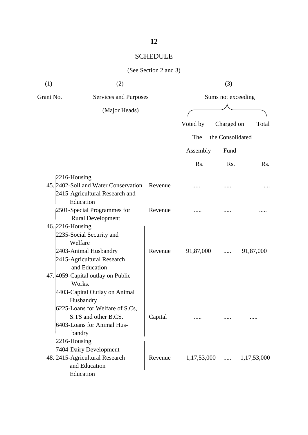| (1)       | (2)                                                     |         |               | (3)                |             |
|-----------|---------------------------------------------------------|---------|---------------|--------------------|-------------|
| Grant No. | Services and Purposes                                   |         |               | Sums not exceeding |             |
|           | (Major Heads)                                           |         |               |                    |             |
|           |                                                         |         | Voted by      | Charged on         | Total       |
|           |                                                         |         | The           | the Consolidated   |             |
|           |                                                         |         | Assembly      | Fund               |             |
|           |                                                         |         | Rs.           | R <sub>s</sub> .   | Rs.         |
|           | $ 2216 -$ Housing                                       |         |               |                    |             |
|           | 45. 2402-Soil and Water Conservation Revenue            |         |               |                    |             |
|           | 2415-Agricultural Research and                          |         |               |                    |             |
|           | Education                                               | Revenue |               |                    |             |
|           | 2501-Special Programmes for<br><b>Rural Development</b> |         |               |                    |             |
|           | 46. 2216-Housing                                        |         |               |                    |             |
|           | 2235-Social Security and                                |         |               |                    |             |
|           | Welfare                                                 |         |               |                    |             |
|           | 2403-Animal Husbandry                                   | Revenue | 91,87,000     | .                  | 91,87,000   |
|           | 2415-Agricultural Research                              |         |               |                    |             |
|           | and Education                                           |         |               |                    |             |
|           | 47. 4059-Capital outlay on Public                       |         |               |                    |             |
|           | Works.                                                  |         |               |                    |             |
|           | 4403-Capital Outlay on Animal                           |         |               |                    |             |
|           | Husbandry                                               |         |               |                    |             |
|           | 6225-Loans for Welfare of S.Cs,                         |         |               |                    |             |
|           | S.TS and other B.CS.                                    | Capital |               |                    |             |
|           | 6403-Loans for Animal Hus-                              |         |               |                    |             |
|           | bandry                                                  |         |               |                    |             |
|           | $2216$ -Housing                                         |         |               |                    |             |
|           | 7404-Dairy Development                                  |         |               |                    |             |
|           | 48. 2415-Agricultural Research                          | Revenue | $1,17,53,000$ |                    | 1,17,53,000 |
|           | and Education                                           |         |               |                    |             |
|           | Education                                               |         |               |                    |             |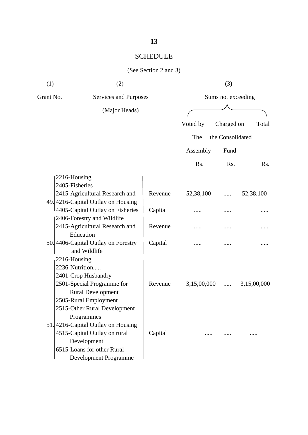| (1)            | (2)                                              |         |             | (3)                |             |
|----------------|--------------------------------------------------|---------|-------------|--------------------|-------------|
| Grant No.      | Services and Purposes                            |         |             | Sums not exceeding |             |
|                | (Major Heads)                                    |         |             |                    |             |
|                |                                                  |         | Voted by    | Charged on         | Total       |
|                |                                                  |         | The         | the Consolidated   |             |
|                |                                                  |         |             |                    |             |
|                |                                                  |         | Assembly    | Fund               |             |
|                |                                                  |         | Rs.         | Rs.                | Rs.         |
| 2216-Housing   |                                                  |         |             |                    |             |
| 2405-Fisheries |                                                  |         |             |                    |             |
|                | 2415-Agricultural Research and                   | Revenue | 52,38,100   |                    | 52,38,100   |
|                | 49. 4216-Capital Outlay on Housing               |         |             |                    |             |
|                | 4405-Capital Outlay on Fisheries                 | Capital |             |                    |             |
|                | 2406-Forestry and Wildlife                       |         |             |                    |             |
|                | 2415-Agricultural Research and                   | Revenue |             |                    |             |
|                | Education<br>50. 4406-Capital Outlay on Forestry | Capital |             |                    |             |
|                | and Wildlife                                     |         |             |                    |             |
| 2216-Housing   |                                                  |         |             |                    |             |
|                | 2236-Nutrition                                   |         |             |                    |             |
|                | 2401-Crop Husbandry                              |         |             |                    |             |
|                | 2501-Special Programme for                       | Revenue | 3,15,00,000 | .                  | 3,15,00,000 |
|                | <b>Rural Development</b>                         |         |             |                    |             |
|                | 2505-Rural Employment                            |         |             |                    |             |
|                | 2515-Other Rural Development                     |         |             |                    |             |
|                | Programmes                                       |         |             |                    |             |
|                | 51.4216-Capital Outlay on Housing                |         |             |                    |             |
|                | 4515-Capital Outlay on rural                     | Capital | .           |                    |             |
|                | Development                                      |         |             |                    |             |
|                | 6515-Loans for other Rural                       |         |             |                    |             |
|                | Development Programme                            |         |             |                    |             |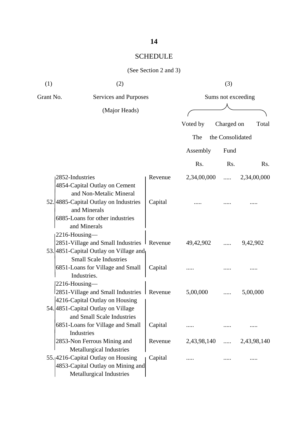# **14**

# SCHEDULE

| (1)       | (2)                                                                       |         |             | (3)                |                      |
|-----------|---------------------------------------------------------------------------|---------|-------------|--------------------|----------------------|
| Grant No. | <b>Services and Purposes</b>                                              |         |             | Sums not exceeding |                      |
|           | (Major Heads)                                                             |         |             |                    |                      |
|           |                                                                           |         | Voted by    | Charged on         | Total                |
|           |                                                                           |         | The         | the Consolidated   |                      |
|           |                                                                           |         |             |                    |                      |
|           |                                                                           |         | Assembly    | Fund               |                      |
|           |                                                                           |         | Rs.         | Rs.                | Rs.                  |
|           | 2852-Industries                                                           | Revenue | 2,34,00,000 | .                  | 2,34,00,000          |
|           | 4854-Capital Outlay on Cement<br>and Non-Metalic Mineral                  |         |             |                    |                      |
|           | 52.4885-Capital Outlay on Industries<br>and Minerals                      | Capital |             |                    |                      |
|           | 6885-Loans for other industries<br>and Minerals                           |         |             |                    |                      |
|           | 2216-Housing-                                                             |         |             |                    |                      |
|           | 2851-Village and Small Industries Revenue                                 |         | 49,42,902   |                    | 9,42,902             |
|           | 53. 4851 - Capital Outlay on Village and<br><b>Small Scale Industries</b> |         |             |                    |                      |
|           | 6851-Loans for Village and Small<br>Industries.                           | Capital |             |                    |                      |
|           | 2216-Housing-                                                             |         |             |                    |                      |
|           | 2851-Village and Small Industries                                         | Revenue | 5,00,000    |                    | 5,00,000             |
|           | 4216-Capital Outlay on Housing                                            |         |             |                    |                      |
|           | 54. 4851 - Capital Outlay on Village<br>and Small Scale Industries        |         |             |                    |                      |
|           | 6851-Loans for Village and Small                                          | Capital | .           | .                  |                      |
|           | Industries                                                                |         |             |                    |                      |
|           | 2853-Non Ferrous Mining and                                               | Revenue | 2,43,98,140 |                    | $\ldots$ 2,43,98,140 |
|           | Metallurgical Industries                                                  |         |             |                    |                      |
|           | 55.4216-Capital Outlay on Housing                                         | Capital |             |                    |                      |
|           | 4853-Capital Outlay on Mining and                                         |         |             |                    |                      |
|           | Metallurgical Industries                                                  |         |             |                    |                      |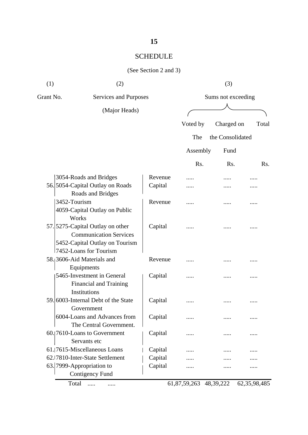#### (See Section 2 and 3)

| (1)       | (2)                                                   |         | (3)                |                  |                  |  |
|-----------|-------------------------------------------------------|---------|--------------------|------------------|------------------|--|
| Grant No. | Services and Purposes                                 |         | Sums not exceeding |                  |                  |  |
|           | (Major Heads)                                         |         |                    |                  |                  |  |
|           |                                                       |         | Voted by           | Charged on       | Total            |  |
|           |                                                       |         | The                | the Consolidated |                  |  |
|           |                                                       |         | Assembly           | Fund             |                  |  |
|           |                                                       |         | Rs.                | Rs.              | R <sub>s</sub> . |  |
|           |                                                       |         |                    |                  |                  |  |
|           | 3054-Roads and Bridges                                | Revenue |                    |                  |                  |  |
|           | 56. 5054-Capital Outlay on Roads<br>Roads and Bridges | Capital |                    |                  |                  |  |
|           | 3452-Tourism                                          | Revenue |                    |                  |                  |  |
|           | 4059-Capital Outlay on Public<br>Works                |         |                    |                  |                  |  |
|           | 57. 5275-Capital Outlay on other                      | Capital |                    |                  |                  |  |
|           | <b>Communication Services</b>                         |         |                    |                  |                  |  |
|           | 5452-Capital Outlay on Tourism                        |         |                    |                  |                  |  |
|           | 7452-Loans for Tourism                                |         |                    |                  |                  |  |
|           | 58.3606-Aid Materials and                             | Revenue | .                  |                  |                  |  |
|           | Equipments                                            |         |                    |                  |                  |  |
|           | 5465-Investment in General                            | Capital |                    |                  |                  |  |
|           | Financial and Training                                |         |                    |                  |                  |  |
|           | Institutions                                          |         |                    |                  |                  |  |
|           | 59. 6003-Internal Debt of the State                   | Capital |                    |                  |                  |  |
|           | Government                                            |         |                    |                  |                  |  |
|           | 6004-Loans and Advances from                          | Capital |                    |                  |                  |  |
|           | The Central Government.                               |         |                    |                  |                  |  |
|           | 60.[7610-Loans to Government                          | Capital |                    |                  |                  |  |
|           | Servants etc                                          |         |                    |                  |                  |  |
|           | 61. 7615-Miscellaneous Loans                          | Capital |                    |                  |                  |  |
|           | 62.17810-Inter-State Settlement                       | Capital |                    |                  |                  |  |
|           | 63. 7999-Appropriation to                             | Capital |                    |                  |                  |  |
|           | <b>Contigency Fund</b>                                |         |                    |                  |                  |  |
|           | $\mathbf{T}$ .                                        |         | 075020             | 10.20.22         | 250000           |  |

Total ..... ..... 61,87,59,263 48,39,222 62,35,98,485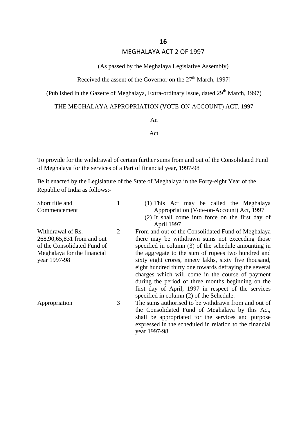#### MEGHALAYA ACT 2 OF 1997

#### (As passed by the Meghalaya Legislative Assembly)

#### Received the assent of the Governor on the  $27<sup>th</sup>$  March, 1997]

(Published in the Gazette of Meghalaya, Extra-ordinary Issue, dated 29<sup>th</sup> March, 1997)

#### THE MEGHALAYA APPROPRIATION (VOTE-ON-ACCOUNT) ACT, 1997

An

#### Act

To provide for the withdrawal of certain further sums from and out of the Consolidated Fund of Meghalaya for the services of a Part of financial year, 1997-98

Be it enacted by the Legislature of the State of Meghalaya in the Forty-eight Year of the Republic of India as follows:-

| Short title and             |   | (1) This Act may be called the Meghalaya                |
|-----------------------------|---|---------------------------------------------------------|
| Commencement                |   | Appropriation (Vote-on-Account) Act, 1997               |
|                             |   | (2) It shall come into force on the first day of        |
|                             |   | April 1997                                              |
| Withdrawal of Rs.           | 2 | From and out of the Consolidated Fund of Meghalaya      |
| 268,90,65,831 from and out  |   | there may be withdrawn sums not exceeding those         |
| of the Consolidated Fund of |   | specified in column (3) of the schedule amounting in    |
| Meghalaya for the financial |   | the aggregate to the sum of rupees two hundred and      |
| year 1997-98                |   | sixty eight crores, ninety lakhs, sixty five thousand,  |
|                             |   | eight hundred thirty one towards defraying the several  |
|                             |   | charges which will come in the course of payment        |
|                             |   | during the period of three months beginning on the      |
|                             |   | first day of April, 1997 in respect of the services     |
|                             |   | specified in column (2) of the Schedule.                |
| Appropriation               | 3 | The sums authorised to be withdrawn from and out of     |
|                             |   | the Consolidated Fund of Meghalaya by this Act,         |
|                             |   | shall be appropriated for the services and purpose      |
|                             |   | expressed in the scheduled in relation to the financial |
|                             |   | year 1997-98                                            |
|                             |   |                                                         |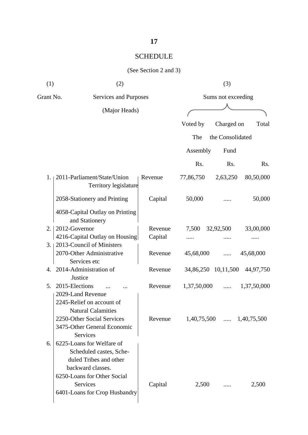| (1)       | (2)                                                                                                                                |         |                     | (3)              |                             |
|-----------|------------------------------------------------------------------------------------------------------------------------------------|---------|---------------------|------------------|-----------------------------|
| Grant No. | Services and Purposes                                                                                                              |         | Sums not exceeding  |                  |                             |
|           | (Major Heads)                                                                                                                      |         |                     |                  |                             |
|           |                                                                                                                                    |         | Voted by            | Charged on       | Total                       |
|           |                                                                                                                                    |         | The                 | the Consolidated |                             |
|           |                                                                                                                                    |         |                     |                  |                             |
|           |                                                                                                                                    |         | Assembly            | Fund             |                             |
|           |                                                                                                                                    |         | Rs.                 | Rs.              | Rs.                         |
| $1_{-1}$  | 2011-Parliament/State/Union<br>Territory legislature                                                                               | Revenue | 77,86,750           | 2,63,250         | 80,50,000                   |
|           | 2058-Stationery and Printing                                                                                                       | Capital | 50,000              |                  | 50,000                      |
|           | 4058-Capital Outlay on Printing<br>and Stationery                                                                                  |         |                     |                  |                             |
| 2.        | 2012-Governor                                                                                                                      | Revenue | 7,500               | 32,92,500        | 33,00,000                   |
|           | 4216-Capital Outlay on Housing                                                                                                     | Capital | .                   |                  |                             |
| 3.1       | 2013-Council of Ministers                                                                                                          |         |                     |                  |                             |
|           | 2070-Other Administrative<br>Services etc                                                                                          | Revenue | 45,68,000           | .                | 45,68,000                   |
| 4.        | 2014-Administration of                                                                                                             | Revenue | 34,86,250 10,11,500 |                  | 44,97,750                   |
|           | Justice                                                                                                                            |         |                     |                  |                             |
| 5.        | 2015-Elections                                                                                                                     | Revenue | 1,37,50,000         | .                | 1,37,50,000                 |
|           | 2029-Land Revenue<br>2245-Relief on account of<br><b>Natural Calamities</b><br>2250-Other Social Services                          | Revenue |                     |                  | $1,40,75,500$ $1,40,75,500$ |
|           | 3475-Other General Economic<br><b>Services</b>                                                                                     |         |                     |                  |                             |
| 6.        | 6225-Loans for Welfare of<br>Scheduled castes, Sche-<br>duled Tribes and other<br>backward classes.<br>6250-Loans for Other Social |         |                     |                  |                             |
|           | <b>Services</b><br>6401-Loans for Crop Husbandry                                                                                   | Capital | 2,500               |                  | 2,500                       |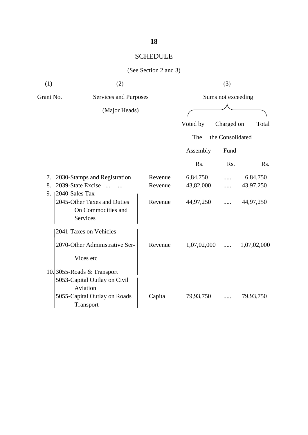| (1)            | (2)                                                                               |                    |                       | (3)                            |                       |
|----------------|-----------------------------------------------------------------------------------|--------------------|-----------------------|--------------------------------|-----------------------|
| Grant No.      | Services and Purposes<br>(Major Heads)                                            |                    |                       | Sums not exceeding             |                       |
|                |                                                                                   |                    | Voted by<br>The       | Charged on<br>the Consolidated | Total                 |
|                |                                                                                   |                    | Assembly              | Fund                           |                       |
|                |                                                                                   |                    | Rs.                   | Rs.                            | Rs.                   |
| 7.<br>8.<br>9. | 2030-Stamps and Registration<br>2039-State Excise<br>$\dddotsc$<br>2040-Sales Tax | Revenue<br>Revenue | 6,84,750<br>43,82,000 | .                              | 6,84,750<br>43,97.250 |
|                | 2045-Other Taxes and Duties<br>On Commodities and<br>Services                     | Revenue            | 44,97,250             | .                              | 44,97,250             |
|                | 2041-Taxes on Vehicles                                                            |                    |                       |                                |                       |
|                | 2070-Other Administrative Ser-<br>Vices etc                                       | Revenue            | 1,07,02,000           | .                              | 1,07,02,000           |
|                | 10.3055-Roads & Transport<br>5053-Capital Outlay on Civil<br>Aviation             |                    |                       |                                |                       |
|                | 5055-Capital Outlay on Roads<br>Transport                                         | Capital            | 79,93,750             |                                | 79,93,750             |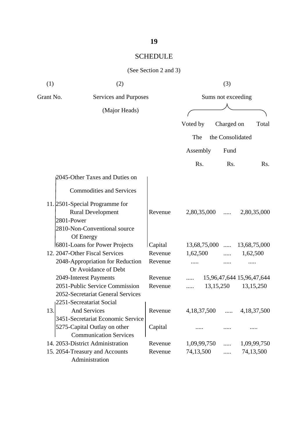| (1)       | (2)                                                                                                      |                    |                          | (3)                |                           |     |
|-----------|----------------------------------------------------------------------------------------------------------|--------------------|--------------------------|--------------------|---------------------------|-----|
| Grant No. | Services and Purposes                                                                                    |                    |                          | Sums not exceeding |                           |     |
|           | (Major Heads)                                                                                            |                    |                          |                    |                           |     |
|           |                                                                                                          |                    | Voted by                 | Charged on         | Total                     |     |
|           |                                                                                                          |                    | The                      | the Consolidated   |                           |     |
|           |                                                                                                          |                    |                          |                    |                           |     |
|           |                                                                                                          |                    | Assembly                 | Fund               |                           |     |
|           |                                                                                                          |                    | Rs.                      | Rs.                |                           | Rs. |
|           | 2045-Other Taxes and Duties on                                                                           |                    |                          |                    |                           |     |
|           | <b>Commodities and Services</b>                                                                          |                    |                          |                    |                           |     |
|           | 11. 2501-Special Programme for<br><b>Rural Development</b><br>2801-Power<br>2810-Non-Conventional source | Revenue            | 2,80,35,000              | .                  | 2,80,35,000               |     |
|           | Of Energy                                                                                                |                    |                          |                    |                           |     |
|           | 6801-Loans for Power Projects<br>12. 2047-Other Fiscal Services                                          | Capital<br>Revenue | 13,68,75,000<br>1,62,500 | $\cdots$           | 13,68,75,000<br>1,62,500  |     |
|           | 2048-Appropriation for Reduction<br>Or Avoidance of Debt                                                 | Revenue            |                          |                    |                           |     |
|           | 2049-Interest Payments                                                                                   | Revenue            |                          |                    | 15,96,47,644 15,96,47,644 |     |
|           | 2051-Public Service Commission<br>2052-Secretariat General Services<br>2251-Secreatariat Social          | Revenue            |                          | 13,15,250          | 13, 15, 250               |     |
| 13.       | And Services                                                                                             | Revenue            | 4,18,37,500              |                    | 4,18,37,500               |     |
|           | 3451-Secretariat Economic Service<br>5275-Capital Outlay on other<br><b>Communication Services</b>       | Capital            |                          |                    |                           |     |
|           | 14. 2053-District Administration                                                                         | Revenue            | 1,09,99,750              | .                  | 1,09,99,750               |     |
|           | 15. 2054-Treasury and Accounts<br>Administration                                                         | Revenue            | 74,13,500                | $\cdots$           | 74,13,500                 |     |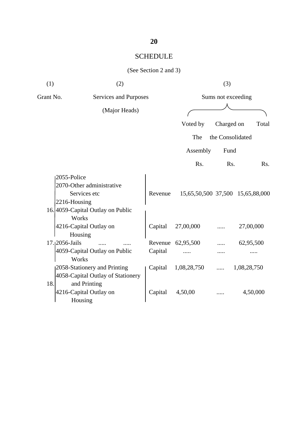| (1)       | (2)                                                                                                           |                    |                | (3)                |                                  |
|-----------|---------------------------------------------------------------------------------------------------------------|--------------------|----------------|--------------------|----------------------------------|
| Grant No. | Services and Purposes                                                                                         |                    |                | Sums not exceeding |                                  |
|           | (Major Heads)                                                                                                 |                    |                |                    |                                  |
|           |                                                                                                               |                    | Voted by       | Charged on         | Total                            |
|           |                                                                                                               |                    | The            | the Consolidated   |                                  |
|           |                                                                                                               |                    | Assembly       | Fund               |                                  |
|           |                                                                                                               |                    | Rs.            | Rs.                | Rs.                              |
|           | 2055-Police<br>2070-Other administrative<br>Services etc<br>2216-Housing<br>16. 4059-Capital Outlay on Public | Revenue            |                |                    | 15,65,50,500 37,500 15,65,88,000 |
|           | Works<br>4216-Capital Outlay on<br>Housing                                                                    | Capital            | 27,00,000      |                    | 27,00,000                        |
|           | 17.12056-Jails<br>4059-Capital Outlay on Public<br>Works                                                      | Revenue<br>Capital | 62,95,500<br>. |                    | 62,95,500                        |
|           | 2058-Stationery and Printing<br>4058-Capital Outlay of Stationery                                             | Capital            | 1,08,28,750    | .                  | 1,08,28,750                      |
| 18.       | and Printing<br>4216-Capital Outlay on<br>Housing                                                             | Capital            | 4,50,00        |                    | 4,50,000                         |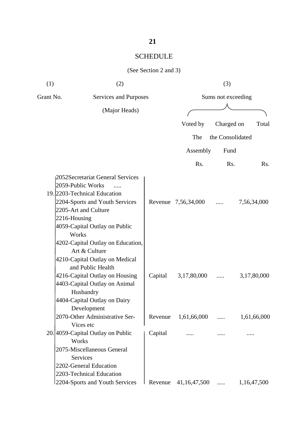| (1)       | (2)                                                                                                                                                                                                                                                                                                                                                                                                                                       |                       |                                    | (3)                |                            |  |  |
|-----------|-------------------------------------------------------------------------------------------------------------------------------------------------------------------------------------------------------------------------------------------------------------------------------------------------------------------------------------------------------------------------------------------------------------------------------------------|-----------------------|------------------------------------|--------------------|----------------------------|--|--|
| Grant No. |                                                                                                                                                                                                                                                                                                                                                                                                                                           | Services and Purposes |                                    | Sums not exceeding |                            |  |  |
|           | (Major Heads)                                                                                                                                                                                                                                                                                                                                                                                                                             |                       |                                    |                    |                            |  |  |
|           |                                                                                                                                                                                                                                                                                                                                                                                                                                           |                       | Voted by                           | Charged on         | Total                      |  |  |
|           |                                                                                                                                                                                                                                                                                                                                                                                                                                           |                       | The                                | the Consolidated   |                            |  |  |
|           |                                                                                                                                                                                                                                                                                                                                                                                                                                           |                       | Assembly                           | Fund               |                            |  |  |
|           |                                                                                                                                                                                                                                                                                                                                                                                                                                           |                       |                                    |                    |                            |  |  |
|           |                                                                                                                                                                                                                                                                                                                                                                                                                                           |                       | Rs.                                | R <sub>s</sub> .   | Rs.                        |  |  |
|           | 2052Secretariat General Services<br>2059-Public Works<br>19. 2203-Technical Education<br>2204-Sports and Youth Services<br>2205-Art and Culture<br>$2216$ -Housing<br>4059-Capital Outlay on Public<br>Works<br>4202-Capital Outlay on Education,<br>Art & Culture<br>4210-Capital Outlay on Medical<br>and Public Health<br>4216-Capital Outlay on Housing<br>4403-Capital Outlay on Animal<br>Husbandry<br>4404-Capital Outlay on Dairy | Capital               | Revenue 7,56,34,000<br>3,17,80,000 | .                  | 7,56,34,000<br>3,17,80,000 |  |  |
|           | Development                                                                                                                                                                                                                                                                                                                                                                                                                               |                       |                                    |                    |                            |  |  |
|           | 2070-Other Administrative Ser-<br>Vices etc                                                                                                                                                                                                                                                                                                                                                                                               | Revenue               | 1,61,66,000                        | .                  | 1,61,66,000                |  |  |
|           | 20. 4059-Capital Outlay on Public<br>Works<br>2075-Miscellaneous General<br><b>Services</b><br>2202-General Education<br>2203-Technical Education                                                                                                                                                                                                                                                                                         | Capital               |                                    |                    |                            |  |  |
|           | 2204-Sports and Youth Services                                                                                                                                                                                                                                                                                                                                                                                                            | Revenue               | 41, 16, 47, 500                    |                    | 1,16,47,500                |  |  |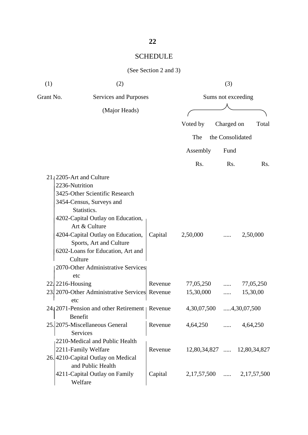| (1)       | (2)                                                          |         |                    | (3)              |                             |  |
|-----------|--------------------------------------------------------------|---------|--------------------|------------------|-----------------------------|--|
| Grant No. | Services and Purposes                                        |         | Sums not exceeding |                  |                             |  |
|           | (Major Heads)                                                |         |                    |                  |                             |  |
|           |                                                              |         | Voted by           | Charged on       | Total                       |  |
|           |                                                              |         | The                | the Consolidated |                             |  |
|           |                                                              |         | Assembly           | Fund             |                             |  |
|           |                                                              |         | R <sub>s</sub> .   | Rs.              | Rs.                         |  |
|           | 21.2205-Art and Culture<br>2236-Nutrition                    |         |                    |                  |                             |  |
|           | 3425-Other Scientific Research                               |         |                    |                  |                             |  |
|           | 3454-Census, Surveys and                                     |         |                    |                  |                             |  |
|           | Statistics.                                                  |         |                    |                  |                             |  |
|           | 4202-Capital Outlay on Education,                            |         |                    |                  |                             |  |
|           | Art & Culture                                                |         |                    |                  |                             |  |
|           | 4204-Capital Outlay on Education,<br>Sports, Art and Culture | Capital | 2,50,000           |                  | 2,50,000                    |  |
|           | 6202-Loans for Education, Art and<br>Culture                 |         |                    |                  |                             |  |
|           | 2070-Other Administrative Services<br>etc                    |         |                    |                  |                             |  |
|           | 22. 2216-Housing                                             | Revenue | 77,05,250          |                  | 77,05,250                   |  |
|           | 23. 2070-Other Administrative Services Revenue<br>etc        |         | 15,30,000          | .                | 15,30,00                    |  |
|           | 24. 2071 - Pension and other Retirement   Revenue<br>Benefit |         | 4,30,07,500        |                  | 4,30,07,500                 |  |
|           | 25. 2075-Miscellaneous General<br>Services                   | Revenue | 4,64,250           | $\cdots$         | 4,64,250                    |  |
|           | 2210-Medical and Public Health                               |         |                    |                  |                             |  |
|           | 2211-Family Welfare                                          | Revenue |                    |                  | 12,80,34,827  12,80,34,827  |  |
|           | 26.4210-Capital Outlay on Medical<br>and Public Health       |         |                    |                  |                             |  |
|           | 4211-Capital Outlay on Family<br>Welfare                     | Capital |                    |                  | $2,17,57,500$ $2,17,57,500$ |  |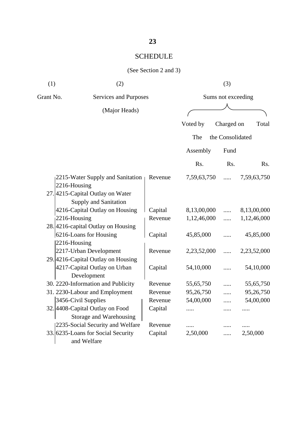| (1)<br>(2) |                                    |         |                    | (3)              |             |
|------------|------------------------------------|---------|--------------------|------------------|-------------|
| Grant No.  | <b>Services and Purposes</b>       |         | Sums not exceeding |                  |             |
|            | (Major Heads)                      |         |                    |                  |             |
|            |                                    |         | Voted by           | Charged on       | Total       |
|            |                                    |         | The                | the Consolidated |             |
|            |                                    |         | Assembly           | Fund             |             |
|            |                                    |         |                    |                  |             |
|            |                                    |         | Rs.                | Rs.              | Rs.         |
|            | 2215-Water Supply and Sanitation   | Revenue | 7,59,63,750        |                  | 7,59,63,750 |
|            | 2216-Housing                       |         |                    |                  |             |
|            | 27. 4215-Capital Outlay on Water   |         |                    |                  |             |
|            | Supply and Sanitation              |         |                    |                  |             |
|            | 4216-Capital Outlay on Housing     | Capital | 8,13,00,000        | $\cdots$         | 8,13,00,000 |
|            | 2216-Housing                       | Revenue | 1,12,46,000        | .                | 1,12,46,000 |
|            | 28.4216-capital Outlay on Housing  |         |                    |                  |             |
|            | 6216-Loans for Housing             | Capital | 45,85,000          |                  | 45,85,000   |
|            | 2216-Housing                       |         |                    |                  |             |
|            | 2217-Urban Development             | Revenue | 2,23,52,000        | .                | 2,23,52,000 |
|            | 29. 4216-Capital Outlay on Housing |         |                    |                  |             |
|            | 4217-Capital Outlay on Urban       | Capital | 54,10,000          |                  | 54,10,000   |
|            | Development                        |         |                    |                  |             |
|            | 30. 2220-Information and Publicity | Revenue | 55,65,750          |                  | 55,65,750   |
|            | 31. 2230-Labour and Employment     | Revenue | 95,26,750          | .                | 95,26,750   |
|            | 3456-Civil Supplies                | Revenue | 54,00,000          | .                | 54,00,000   |
|            | 32. 4408-Capital Outlay on Food    | Capital | .                  | .                | .           |
|            | Storage and Warehousing            |         |                    |                  |             |
|            | 2235-Social Security and Welfare   | Revenue | .                  |                  |             |
|            | 33. 6235-Loans for Social Security | Capital | 2,50,000           |                  | 2,50,000    |
|            | and Welfare                        |         |                    |                  |             |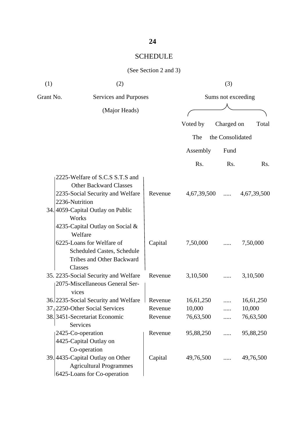| (1)       | (2)                                                                                                                                                                                                                                                                                                        |                    |                         | (3)                |                         |
|-----------|------------------------------------------------------------------------------------------------------------------------------------------------------------------------------------------------------------------------------------------------------------------------------------------------------------|--------------------|-------------------------|--------------------|-------------------------|
| Grant No. | Services and Purposes                                                                                                                                                                                                                                                                                      |                    |                         | Sums not exceeding |                         |
|           | (Major Heads)                                                                                                                                                                                                                                                                                              |                    |                         |                    |                         |
|           |                                                                                                                                                                                                                                                                                                            |                    | Voted by                | Charged on         | Total                   |
|           |                                                                                                                                                                                                                                                                                                            |                    | The                     | the Consolidated   |                         |
|           |                                                                                                                                                                                                                                                                                                            |                    | Assembly                | Fund               |                         |
|           |                                                                                                                                                                                                                                                                                                            |                    | R <sub>s</sub> .        | Rs.                | Rs.                     |
|           | 2225-Welfare of S.C.S S.T.S and<br><b>Other Backward Classes</b><br>2235-Social Security and Welfare<br>2236-Nutrition<br>34. 4059-Capital Outlay on Public<br>Works<br>4235-Capital Outlay on Social &<br>Welfare<br>6225-Loans for Welfare of<br>Scheduled Castes, Schedule<br>Tribes and Other Backward | Revenue<br>Capital | 4,67,39,500<br>7,50,000 |                    | 4,67,39,500<br>7,50,000 |
|           | Classes<br>35. 2235-Social Security and Welfare<br>2075-Miscellaneous General Ser-<br>vices                                                                                                                                                                                                                | Revenue            | 3,10,500                |                    | 3,10,500                |
|           | 36. 2235 - Social Security and Welfare                                                                                                                                                                                                                                                                     | Revenue            | 16,61,250               |                    | 16,61,250               |
|           | 37. 2250-Other Social Services                                                                                                                                                                                                                                                                             | Revenue            | 10,000                  | .                  | 10,000                  |
|           | 38.3451-Secretariat Economic<br>Services                                                                                                                                                                                                                                                                   | Revenue            | 76,63,500               | .                  | 76,63,500               |
|           | 2425-Co-operation<br>4425-Capital Outlay on<br>Co-operation                                                                                                                                                                                                                                                | Revenue            | 95,88,250               | .                  | 95,88,250               |
|           | 39. 4435-Capital Outlay on Other<br><b>Agricultural Programmes</b><br>6425-Loans for Co-operation                                                                                                                                                                                                          | Capital            | 49,76,500               | .                  | 49,76,500               |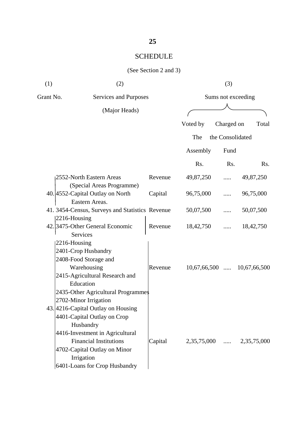#### (See Section 2 and 3)

| (1)       | (2)                                                |         |                | (3)                |                          |
|-----------|----------------------------------------------------|---------|----------------|--------------------|--------------------------|
| Grant No. | Services and Purposes                              |         |                | Sums not exceeding |                          |
|           | (Major Heads)                                      |         |                |                    |                          |
|           |                                                    |         | Voted by       | Charged on         | Total                    |
|           |                                                    |         | The            | the Consolidated   |                          |
|           |                                                    |         | Assembly       | Fund               |                          |
|           |                                                    |         | Rs.            | Rs.                | R <sub>s</sub> .         |
|           | 2552-North Eastern Areas                           | Revenue | 49,87,250      | .                  | 49,87,250                |
|           | (Special Areas Programme)                          |         |                |                    |                          |
|           | 40. 4552-Capital Outlay on North                   | Capital | 96,75,000      |                    | 96,75,000                |
|           | Eastern Areas.                                     |         |                |                    |                          |
|           | 41. 3454-Census, Surveys and Statistics Revenue    |         | 50,07,500      | .                  | 50,07,500                |
|           | 2216-Housing                                       |         |                |                    |                          |
|           | 42. 3475-Other General Economic<br><b>Services</b> | Revenue | 18,42,750      |                    | 18,42,750                |
|           | 2216-Housing                                       |         |                |                    |                          |
|           | 2401-Crop Husbandry                                |         |                |                    |                          |
|           | 2408-Food Storage and                              |         |                |                    |                          |
|           | Warehousing                                        | Revenue | $10,67,66,500$ |                    | 10,67,66,500             |
|           | 2415-Agricultural Research and                     |         |                |                    |                          |
|           | Education                                          |         |                |                    |                          |
|           | 2435-Other Agricultural Programmes                 |         |                |                    |                          |
|           | 2702-Minor Irrigation                              |         |                |                    |                          |
|           | 43. 4216-Capital Outlay on Housing                 |         |                |                    |                          |
|           | 4401-Capital Outlay on Crop                        |         |                |                    |                          |
|           | Husbandry                                          |         |                |                    |                          |
|           | 4416-Investment in Agricultural                    |         |                |                    |                          |
|           | <b>Financial Institutions</b>                      | Capital |                |                    | 2,35,75,000  2,35,75,000 |
|           | 4702-Capital Outlay on Minor                       |         |                |                    |                          |
|           | Irrigation                                         |         |                |                    |                          |
|           | 6401-Loans for Crop Husbandry                      |         |                |                    |                          |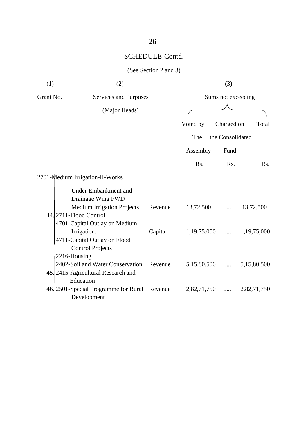## SCHEDULE-Contd.

| (1)<br>(2)                         |                                                                                                         | (3)     |             |                    |             |
|------------------------------------|---------------------------------------------------------------------------------------------------------|---------|-------------|--------------------|-------------|
| Grant No.<br>Services and Purposes |                                                                                                         |         |             | Sums not exceeding |             |
|                                    | (Major Heads)                                                                                           |         |             |                    |             |
|                                    |                                                                                                         |         | Voted by    | Charged on         | Total       |
|                                    |                                                                                                         |         | The         | the Consolidated   |             |
|                                    |                                                                                                         |         | Assembly    | Fund               |             |
|                                    |                                                                                                         |         | Rs.         | Rs.                | Rs.         |
|                                    | 2701-Medium Irrigation-II-Works                                                                         |         |             |                    |             |
|                                    | <b>Under Embankment and</b><br>Drainage Wing PWD                                                        |         |             |                    |             |
|                                    | <b>Medium Irrigation Projects</b><br>44. 2711-Flood Control                                             | Revenue | 13,72,500   |                    | 13,72,500   |
|                                    | 4701-Capital Outlay on Medium<br>Irrigation.<br>4711-Capital Outlay on Flood<br><b>Control Projects</b> | Capital | 1,19,75,000 | $\cdots$           | 1,19,75,000 |
|                                    | $2216$ -Housing                                                                                         |         |             |                    |             |
|                                    | 2402-Soil and Water Conservation<br>45. 2415-Agricultural Research and                                  | Revenue | 5,15,80,500 | $\cdots$           | 5,15,80,500 |
|                                    | Education<br>46.12501-Special Programme for Rural<br>Development                                        | Revenue | 2,82,71,750 | .                  | 2,82,71,750 |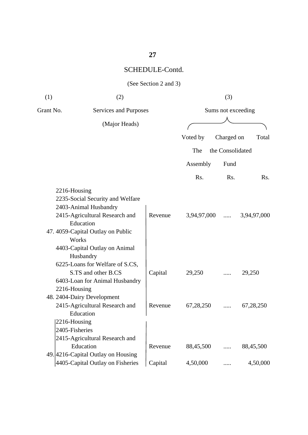## **27**

## SCHEDULE-Contd.

| (1)          | (2)                                |         |             | (3)                |             |
|--------------|------------------------------------|---------|-------------|--------------------|-------------|
| Grant No.    | Services and Purposes              |         |             | Sums not exceeding |             |
|              | (Major Heads)                      |         |             |                    |             |
|              |                                    |         | Voted by    | Charged on         | Total       |
|              |                                    |         | The         | the Consolidated   |             |
|              |                                    |         | Assembly    | Fund               |             |
|              |                                    |         | Rs.         | Rs.                | Rs.         |
| 2216-Housing |                                    |         |             |                    |             |
|              | 2235-Social Security and Welfare   |         |             |                    |             |
|              | 2403-Animal Husbandry              |         |             |                    |             |
|              | 2415-Agricultural Research and     | Revenue | 3,94,97,000 | $\cdots$           | 3,94,97,000 |
|              | Education                          |         |             |                    |             |
|              | 47. 4059-Capital Outlay on Public  |         |             |                    |             |
|              | Works                              |         |             |                    |             |
|              | 4403-Capital Outlay on Animal      |         |             |                    |             |
|              | Husbandry                          |         |             |                    |             |
|              | 6225-Loans for Welfare of S.CS,    |         |             |                    |             |
|              | S.TS and other B.CS                | Capital | 29,250      |                    | 29,250      |
|              | 6403-Loan for Animal Husbandry     |         |             |                    |             |
| 2216-Housing |                                    |         |             |                    |             |
|              | 48. 2404-Dairy Development         |         |             |                    |             |
|              | 2415-Agricultural Research and     | Revenue | 67,28,250   |                    | 67,28,250   |
|              | Education                          |         |             |                    |             |
| 2216-Housing |                                    |         |             |                    |             |
|              | 2405-Fisheries                     |         |             |                    |             |
|              | 2415-Agricultural Research and     |         |             |                    |             |
|              | Education                          | Revenue | 88,45,500   | .                  | 88,45,500   |
|              | 49. 4216-Capital Outlay on Housing |         |             |                    |             |
|              | 4405-Capital Outlay on Fisheries   | Capital | 4,50,000    | .                  | 4,50,000    |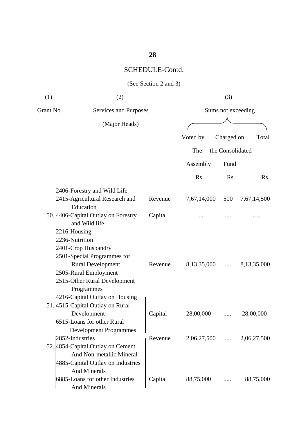## **28**

## SCHEDULE-Contd.

| (1)       | (2)                                                           |         |               | (3)                |             |
|-----------|---------------------------------------------------------------|---------|---------------|--------------------|-------------|
| Grant No. | Services and Purposes                                         |         |               | Sums not exceeding |             |
|           | (Major Heads)                                                 |         |               |                    |             |
|           |                                                               |         | Voted by      | Charged on         | Total       |
|           |                                                               |         |               |                    |             |
|           |                                                               |         | The           | the Consolidated   |             |
|           |                                                               |         | Assembly      | Fund               |             |
|           |                                                               |         | Rs.           | R <sub>s</sub> .   | Rs.         |
|           | 2406-Forestry and Wild Life                                   |         |               |                    |             |
|           | 2415-Agricultural Research and<br>Education                   | Revenue | 7,67,14,000   | 500                | 7,67,14,500 |
|           | 50. 4406-Capital Outlay on Forestry<br>and Wild life          | Capital |               |                    |             |
|           | 2216-Housing                                                  |         |               |                    |             |
|           | 2236-Nutrition                                                |         |               |                    |             |
|           | 2401-Crop Husbandry                                           |         |               |                    |             |
|           | 2501-Special Programmes for                                   |         |               |                    |             |
|           | <b>Rural Development</b>                                      | Revenue | 8,13,35,000   | .                  | 8,13,35,000 |
|           | 2505-Rural Employment                                         |         |               |                    |             |
|           | 2515-Other Rural Development                                  |         |               |                    |             |
|           | Programmes                                                    |         |               |                    |             |
|           | 4216-Capital Outlay on Housing                                |         |               |                    |             |
|           | 51.4515-Capital Outlay on Rural                               |         |               |                    |             |
|           | Development                                                   | Capital | 28,00,000     |                    | 28,00,000   |
|           | 6515-Loans for other Rural                                    |         |               |                    |             |
|           | <b>Development Programmes</b><br>2852-Industries              |         |               |                    |             |
|           |                                                               | Revenue | $2,06,27,500$ |                    | 2,06,27,500 |
|           | 52. 4854-Capital Outlay on Cement<br>And Non-metallic Mineral |         |               |                    |             |
|           |                                                               |         |               |                    |             |
|           | 4885-Capital Outlay on Industries<br><b>And Minerals</b>      |         |               |                    |             |
|           | 6885-Loans for other Industries                               | Capital | 88,75,000     |                    | 88,75,000   |
|           | <b>And Minerals</b>                                           |         |               |                    |             |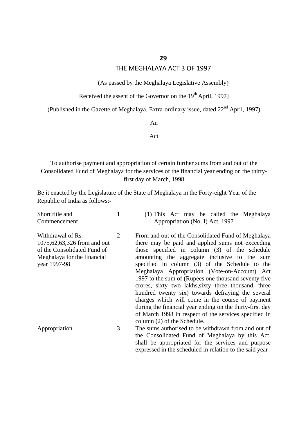#### THE MEGHALAYA ACT 3 OF 1997

(As passed by the Meghalaya Legislative Assembly)

Received the assent of the Governor on the  $19<sup>th</sup>$  April, 1997]

(Published in the Gazette of Meghalaya, Extra-ordinary issue, dated 22<sup>nd</sup> April, 1997)

An

Act

To authorise payment and appropriation of certain further sums from and out of the Consolidated Fund of Meghalaya for the services of the financial year ending on the thirtyfirst day of March, 1998

Be it enacted by the Legislature of the State of Meghalaya in the Forty-eight Year of the Republic of India as follows:-

| Short title and<br>Commencement                                                                                                   |   | (1) This Act may be called the Meghalaya<br>Appropriation (No. I) Act, 1997                                                                                                                                                                                                                                                                                                                                                                                                                                                                                                                                                                                                             |
|-----------------------------------------------------------------------------------------------------------------------------------|---|-----------------------------------------------------------------------------------------------------------------------------------------------------------------------------------------------------------------------------------------------------------------------------------------------------------------------------------------------------------------------------------------------------------------------------------------------------------------------------------------------------------------------------------------------------------------------------------------------------------------------------------------------------------------------------------------|
| Withdrawal of Rs.<br>1075, 62, 63, 326 from and out<br>of the Consolidated Fund of<br>Meghalaya for the financial<br>year 1997-98 | 2 | From and out of the Consolidated Fund of Meghalaya<br>there may be paid and applied sums not exceeding<br>those specified in column (3) of the schedule<br>amounting the aggregate inclusive to the sum<br>specified in column (3) of the Schedule to the<br>Meghalaya Appropriation (Vote-on-Account) Act<br>1997 to the sum of (Rupees one thousand seventy five<br>crores, sixty two lakhs, sixty three thousand, three<br>hundred twenty six) towards defraying the several<br>charges which will come in the course of payment<br>during the financial year ending on the thirty-first day<br>of March 1998 in respect of the services specified in<br>column (2) of the Schedule. |
| Appropriation                                                                                                                     | 3 | The sums authorised to be withdrawn from and out of<br>the Consolidated Fund of Meghalaya by this Act,<br>shall be appropriated for the services and purpose<br>expressed in the scheduled in relation to the said year                                                                                                                                                                                                                                                                                                                                                                                                                                                                 |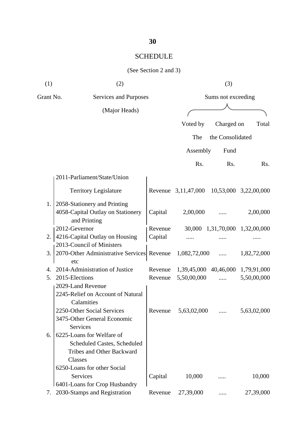| (1)       | (2)                                                                                                     |         | (3)                                       |                  |                                |  |
|-----------|---------------------------------------------------------------------------------------------------------|---------|-------------------------------------------|------------------|--------------------------------|--|
| Grant No. | Services and Purposes                                                                                   |         | Sums not exceeding                        |                  |                                |  |
|           | (Major Heads)                                                                                           |         |                                           |                  |                                |  |
|           |                                                                                                         |         | Voted by                                  | Charged on       | Total                          |  |
|           |                                                                                                         |         |                                           |                  |                                |  |
|           |                                                                                                         |         | The                                       | the Consolidated |                                |  |
|           |                                                                                                         |         | Assembly                                  | Fund             |                                |  |
|           |                                                                                                         |         | Rs.                                       | R <sub>s</sub> . | Rs.                            |  |
|           | 2011-Parliament/State/Union                                                                             |         |                                           |                  |                                |  |
|           | <b>Territory Legislature</b>                                                                            |         | Revenue 3,11,47,000 10,53,000 3,22,00,000 |                  |                                |  |
| 1.        | 2058-Stationery and Printing<br>4058-Capital Outlay on Stationery<br>and Printing                       | Capital | 2,00,000                                  |                  | 2,00,000                       |  |
|           | 2012-Gevernor                                                                                           | Revenue |                                           |                  | 30,000 1,31,70,000 1,32,00,000 |  |
| 2.        | 4216-Capital Outlay on Housing                                                                          | Capital |                                           |                  |                                |  |
|           | 2013-Council of Ministers                                                                               |         |                                           |                  |                                |  |
| 3.        | 2070-Other Administrative Services Revenue<br>etc                                                       |         | 1,082,72,000                              |                  | 1,82,72,000                    |  |
| 4.        | 2014-Administration of Justice                                                                          | Revenue | 1,39,45,000 40,46,000 1,79,91,000         |                  |                                |  |
| 5.        | 2015-Elections                                                                                          | Revenue | 5,50,00,000                               |                  | 5,50,00,000                    |  |
|           | 2029-Land Revenue<br>2245-Relief on Account of Natural<br>Calamities                                    |         |                                           |                  |                                |  |
|           | 2250-Other Social Services<br>3475-Other General Economic<br><b>Services</b>                            | Revenue | 5,63,02,000                               |                  | 5,63,02,000                    |  |
| 6.        | 6225-Loans for Welfare of<br>Scheduled Castes, Scheduled<br><b>Tribes and Other Backward</b><br>Classes |         |                                           |                  |                                |  |
|           | 6250-Loans for other Social                                                                             |         |                                           |                  |                                |  |
|           | Services                                                                                                | Capital | 10,000                                    |                  | 10,000                         |  |
| 7.        | 6401-Loans for Crop Husbandry<br>2030-Stamps and Registration                                           | Revenue | 27,39,000                                 |                  | 27,39,000                      |  |
|           |                                                                                                         |         |                                           |                  |                                |  |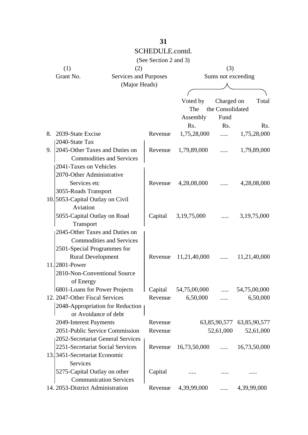|    |                                   |                       | (See Section 2 and 3) |                     |                           |                |
|----|-----------------------------------|-----------------------|-----------------------|---------------------|---------------------------|----------------|
|    | (1)                               | (2)                   |                       |                     | (3)                       |                |
|    | Grant No.                         | Services and Purposes |                       |                     | Sums not exceeding        |                |
|    |                                   | (Major Heads)         |                       |                     |                           |                |
|    |                                   |                       |                       |                     |                           |                |
|    |                                   |                       |                       | Voted by            | Charged on                | Total          |
|    |                                   |                       |                       | The                 | the Consolidated          |                |
|    |                                   |                       |                       | Assembly            | Fund                      |                |
|    |                                   |                       |                       | Rs.                 | Rs.                       | Rs.            |
| 8. | 2039-State Excise                 |                       | Revenue               | 1,75,28,000         |                           | 1,75,28,000    |
|    | 2040-State Tax                    |                       |                       |                     |                           |                |
| 9. | 2045-Other Taxes and Duties on    |                       | Revenue               | 1,79,89,000         | $\cdots$                  | 1,79,89,000    |
|    | <b>Commodities and Services</b>   |                       |                       |                     |                           |                |
|    | 2041-Taxes on Vehicles            |                       |                       |                     |                           |                |
|    | 2070-Other Administrative         |                       |                       |                     |                           |                |
|    | Services etc                      |                       | Revenue               | 4,28,08,000         |                           | 4,28,08,000    |
|    | 3055-Roads Transport              |                       |                       |                     |                           |                |
|    | 10. 5053-Capital Outlay on Civil  |                       |                       |                     |                           |                |
|    | Aviation                          |                       |                       |                     |                           |                |
|    | 5055-Capital Outlay on Road       |                       |                       | Capital 3,19,75,000 |                           | 3, 19, 75, 000 |
|    | Transport                         |                       |                       |                     |                           |                |
|    | 2045-Other Taxes and Duties on    |                       |                       |                     |                           |                |
|    | <b>Commodities and Services</b>   |                       |                       |                     |                           |                |
|    | 2501-Special Programmes for       |                       |                       |                     |                           |                |
|    | <b>Rural Development</b>          |                       | Revenue               | 11,21,40,000        |                           | 11,21,40,000   |
|    | 11.2801-Power                     |                       |                       |                     |                           |                |
|    | 2810-Non-Conventional Source      |                       |                       |                     |                           |                |
|    | of Energy                         |                       |                       |                     |                           |                |
|    | 6801-Loans for Power Projects     |                       | Capital               | 54,75,00,000        |                           | 54,75,00,000   |
|    | 12. 2047-Other Fiscal Services    |                       | Revenue               | 6,50,000            | .                         | 6,50,000       |
|    | 2048-Appropriation for Reduction  |                       |                       |                     |                           |                |
|    | or Avoidance of debt              |                       |                       |                     |                           |                |
|    | 2049-Interest Payments            |                       | Revenue               |                     | 63,85,90,577 63,85,90,577 |                |
|    | 2051-Public Service Commission    |                       | Revenue               |                     | 52,61,000                 | 52,61,000      |
|    | 2052-Secretariat General Services |                       |                       |                     |                           |                |
|    | 2251-Secretariat Social Services  |                       | Revenue               | 16,73,50,000        | $\cdots$                  | 16,73,50,000   |
|    | 13.3451-Secretariat Economic      |                       |                       |                     |                           |                |
|    | Services                          |                       |                       |                     |                           |                |
|    | 5275-Capital Outlay on other      |                       | Capital               |                     |                           |                |
|    | <b>Communication Services</b>     |                       |                       |                     |                           |                |
|    | 14. 2053-District Administration  |                       | Revenue               | 4,39,99,000         | $\cdots$                  | 4,39,99,000    |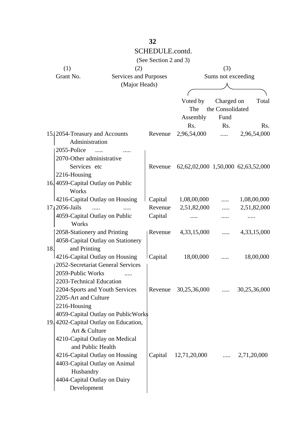|     |                                                     | 32                    |                                    |                                |              |
|-----|-----------------------------------------------------|-----------------------|------------------------------------|--------------------------------|--------------|
|     |                                                     | SCHEDULE.contd.       |                                    |                                |              |
|     |                                                     | (See Section 2 and 3) |                                    |                                |              |
|     | (1)<br>(2)                                          |                       |                                    | (3)                            |              |
|     | Grant No.<br>Services and Purposes                  |                       |                                    | Sums not exceeding             |              |
|     | (Major Heads)                                       |                       |                                    |                                |              |
|     |                                                     |                       |                                    |                                |              |
|     |                                                     |                       | Voted by<br>The                    | Charged on<br>the Consolidated | Total        |
|     |                                                     |                       | Assembly                           | Fund                           |              |
|     |                                                     |                       | Rs.                                | Rs.                            | Rs.          |
|     | 15. 2054-Treasury and Accounts<br>Administration    | Revenue               | 2,96,54,000                        | $\cdots$                       | 2,96,54,000  |
|     | 2055-Police                                         |                       |                                    |                                |              |
|     | 2070-Other administrative                           |                       |                                    |                                |              |
|     | Services etc                                        | Revenue               | 62,62,02,000 1,50,000 62,63,52,000 |                                |              |
|     | 2216-Housing                                        |                       |                                    |                                |              |
|     | 16.4059-Capital Outlay on Public                    |                       |                                    |                                |              |
|     | Works                                               |                       |                                    |                                |              |
|     | 4216-Capital Outlay on Housing                      |                       | Capital 1,08,00,000                |                                | 1,08,00,000  |
|     | 17. 2056-Jails<br>$\cdots$<br>$\cdots$              | Revenue               | 2,51,82,000                        |                                | 2,51,82,000  |
|     | 4059-Capital Outlay on Public                       | Capital               |                                    | .                              |              |
|     | Works                                               |                       |                                    |                                |              |
|     | 2058-Stationery and Printing                        | Revenue               | 4,33,15,000                        | $\cdots$                       | 4,33,15,000  |
|     | 4058-Capital Outlay on Stationery                   |                       |                                    |                                |              |
| 18. | and Printing<br>4216-Capital Outlay on Housing      | Capital               |                                    |                                |              |
|     | 2052-Secretariat General Services                   |                       | 18,00,000                          |                                | 18,00,000    |
|     | 2059-Public Works                                   |                       |                                    |                                |              |
|     | 2203-Technical Education                            |                       |                                    |                                |              |
|     | 2204-Sports and Youth Services                      |                       | Revenue 30,25,36,000               |                                | 30,25,36,000 |
|     | 2205-Art and Culture                                |                       |                                    |                                |              |
|     | 2216-Housing                                        |                       |                                    |                                |              |
|     | 4059-Capital Outlay on PublicWork\$                 |                       |                                    |                                |              |
|     | 19. 4202-Capital Outlay on Education,               |                       |                                    |                                |              |
|     | Art & Culture                                       |                       |                                    |                                |              |
|     | 4210-Capital Outlay on Medical<br>and Public Health |                       |                                    |                                |              |
|     | 4216-Capital Outlay on Housing                      |                       | Capital 12,71,20,000               | $\ldots$                       | 2,71,20,000  |
|     | 4403-Capital Outlay on Animal                       |                       |                                    |                                |              |
|     | Husbandry                                           |                       |                                    |                                |              |
|     | 4404-Capital Outlay on Dairy                        |                       |                                    |                                |              |
|     | Development                                         |                       |                                    |                                |              |
|     |                                                     |                       |                                    |                                |              |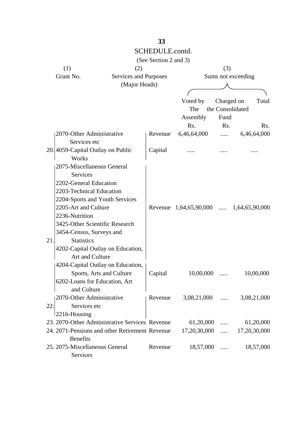|     |                                                |                       | (See Section 2 and 3) |                        |                  |                    |     |
|-----|------------------------------------------------|-----------------------|-----------------------|------------------------|------------------|--------------------|-----|
|     | (1)                                            | (2)                   |                       |                        | (3)              |                    |     |
|     | Grant No.                                      | Services and Purposes |                       |                        |                  | Sums not exceeding |     |
|     |                                                | (Major Heads)         |                       |                        |                  |                    |     |
|     |                                                |                       |                       |                        |                  |                    |     |
|     |                                                |                       |                       | Voted by               | Charged on       | Total              |     |
|     |                                                |                       |                       | The                    |                  | the Consolidated   |     |
|     |                                                |                       |                       | Assembly               | Fund             |                    |     |
|     |                                                |                       |                       | Rs.                    | R <sub>s</sub> . |                    | Rs. |
|     | 2070-Other Administrative                      |                       | Revenue               | 6,46,64,000            | $\cdots$         | 6,46,64,000        |     |
|     | Services etc                                   |                       |                       |                        |                  |                    |     |
|     | 20. 4059-Capital Outlay on Public              |                       | Capital               |                        |                  |                    |     |
|     | <b>Works</b>                                   |                       |                       |                        |                  |                    |     |
|     | 2075-Miscellaneous General                     |                       |                       |                        |                  |                    |     |
|     | Services                                       |                       |                       |                        |                  |                    |     |
|     | 2202-General Education                         |                       |                       |                        |                  |                    |     |
|     | 2203-Technical Education                       |                       |                       |                        |                  |                    |     |
|     | 2204-Sports and Youth Services                 |                       |                       |                        |                  |                    |     |
|     | 2205-Art and Culture                           |                       |                       | Revenue 1,64,65,90,000 |                  | 1,64,65,90,000     |     |
|     | 2236-Nutrition                                 |                       |                       |                        |                  |                    |     |
|     | 3425-Other Scientific Research                 |                       |                       |                        |                  |                    |     |
|     | 3454-Census, Surveys and                       |                       |                       |                        |                  |                    |     |
| 21. | <b>Statistics</b>                              |                       |                       |                        |                  |                    |     |
|     | 4202-Capital Outlay on Education,              |                       |                       |                        |                  |                    |     |
|     | Art and Culture                                |                       |                       |                        |                  |                    |     |
|     | 4204-Capital Outlay on Education,              |                       |                       |                        |                  |                    |     |
|     | Sports, Arts and Culture                       |                       | Capital               | 10,00,000              |                  | 10,00,000          |     |
|     | 6202-Loans for Education, Art                  |                       |                       |                        |                  |                    |     |
|     | and Culture                                    |                       |                       |                        |                  |                    |     |
|     | 2070-Other Administrative                      |                       | Revenue               | $3,08,21,000$          |                  | 3,08,21,000        |     |
| 22. | Services etc                                   |                       |                       |                        |                  |                    |     |
|     | 2216-Housing                                   |                       |                       |                        |                  |                    |     |
|     | 23. 2070-Other Administrative Services Revenue |                       |                       | 61,20,000              | .                | 61,20,000          |     |
|     | 24. 2071-Pensions and other Retirement Revenue |                       |                       | 17,20,30,000           | $\cdots$         | 17,20,30,000       |     |
|     | <b>Benefits</b>                                |                       |                       |                        |                  |                    |     |
|     | 25. 2075-Miscellaneous General                 |                       | Revenue               | 18,57,000              | .                | 18,57,000          |     |
|     | Services                                       |                       |                       |                        |                  |                    |     |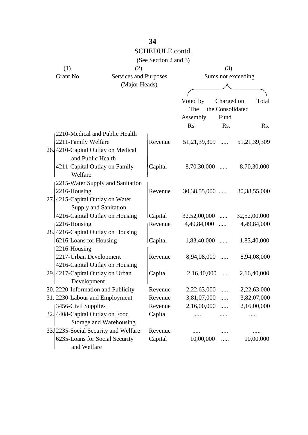|                                                         |                         | (See Section 2 and 3) |                    |                  |                               |  |
|---------------------------------------------------------|-------------------------|-----------------------|--------------------|------------------|-------------------------------|--|
| (1)                                                     | (2)                     |                       |                    | (3)              |                               |  |
| Grant No.                                               | Services and Purposes   |                       | Sums not exceeding |                  |                               |  |
|                                                         | (Major Heads)           |                       |                    |                  |                               |  |
|                                                         |                         |                       |                    |                  |                               |  |
|                                                         |                         |                       | Voted by           | Charged on       | Total                         |  |
|                                                         |                         |                       | The                | the Consolidated |                               |  |
|                                                         |                         |                       | Assembly           | Fund             |                               |  |
|                                                         |                         |                       | Rs.                | Rs.              | Rs.                           |  |
| 2210-Medical and Public Health                          |                         |                       |                    |                  |                               |  |
| 2211-Family Welfare                                     |                         | Revenue               |                    |                  | 51,21,39,309  51,21,39,309    |  |
| 26. 4210-Capital Outlay on Medical<br>and Public Health |                         |                       |                    |                  |                               |  |
| 4211-Capital Outlay on Family                           |                         | Capital               | $8,70,30,000$      |                  | 8,70,30,000                   |  |
| Welfare                                                 |                         |                       |                    |                  |                               |  |
| 2215-Water Supply and Sanitation                        |                         |                       |                    |                  |                               |  |
| 2216-Housing                                            |                         | Revenue               | $30,38,55,000$     |                  | 30, 38, 55, 000               |  |
| 27.4215-Capital Outlay on Water                         |                         |                       |                    |                  |                               |  |
| Supply and Sanitation                                   |                         |                       |                    |                  |                               |  |
| 4216-Capital Outlay on Housing                          |                         | Capital               |                    |                  | $32,52,00,000$ $32,52,00,000$ |  |
| $2216$ -Housing                                         |                         | Revenue               | 4,49,84,000        |                  | 4,49,84,000                   |  |
| 28.4216-Capital Outlay on Housing                       |                         |                       |                    |                  |                               |  |
| 6216-Loans for Housing                                  |                         | Capital               | $1,83,40,000$      |                  | 1,83,40,000                   |  |
| $ 2216 -$ Housing                                       |                         |                       |                    |                  |                               |  |
| 2217-Urban Development                                  |                         | Revenue               | 8,94,08,000        |                  | 8,94,08,000                   |  |
| 4216-Capital Outlay on Housing                          |                         |                       |                    |                  |                               |  |
| 29. 4217-Capital Outlay on Urban                        |                         | Capital               | $2,16,40,000$      |                  | 2,16,40,000                   |  |
| Development                                             |                         |                       |                    |                  |                               |  |
| 30. 2220-Information and Publicity                      |                         | Revenue               | 2,22,63,000        |                  | 2,22,63,000                   |  |
| 31. 2230-Labour and Employment                          |                         | Revenue               | 3,81,07,000        | .                | 3,82,07,000                   |  |
| 3456-Civil Supplies                                     |                         | Revenue               | 2,16,00,000        | .                | 2,16,00,000                   |  |
| 32.4408-Capital Outlay on Food                          |                         | Capital               |                    |                  |                               |  |
|                                                         | Storage and Warehousing |                       |                    |                  |                               |  |
| 33. 2235-Social Security and Welfare                    |                         | Revenue               |                    |                  |                               |  |
| 6235-Loans for Social Security                          |                         | Capital               | 10,00,000          | .                | 10,00,000                     |  |
| and Welfare                                             |                         |                       |                    |                  |                               |  |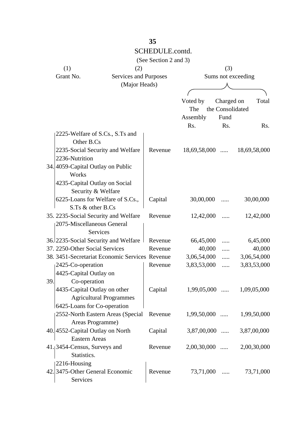|     |                                                |                       | (See Section 2 and 3) |                             |                    |              |
|-----|------------------------------------------------|-----------------------|-----------------------|-----------------------------|--------------------|--------------|
|     | (1)                                            | (2)                   |                       |                             | (3)                |              |
|     | Grant No.                                      | Services and Purposes |                       |                             | Sums not exceeding |              |
|     |                                                | (Major Heads)         |                       |                             |                    |              |
|     |                                                |                       |                       |                             |                    |              |
|     |                                                |                       |                       | Voted by                    | Charged on         | Total        |
|     |                                                |                       |                       | The                         | the Consolidated   |              |
|     |                                                |                       |                       | Assembly                    | Fund               |              |
|     |                                                |                       |                       | Rs.                         | Rs.                | Rs.          |
|     | 2225-Welfare of S.Cs., S.Ts and                |                       |                       |                             |                    |              |
|     | Other B.Cs                                     |                       |                       |                             |                    |              |
|     | 2235-Social Security and Welfare               |                       | Revenue               | $18,69,58,000$              |                    | 18,69,58,000 |
|     | 2236-Nutrition                                 |                       |                       |                             |                    |              |
|     | 34.4059-Capital Outlay on Public               |                       |                       |                             |                    |              |
|     | Works                                          |                       |                       |                             |                    |              |
|     | 4235-Capital Outlay on Social                  |                       |                       |                             |                    |              |
|     | Security & Welfare                             |                       |                       |                             |                    |              |
|     | 6225-Loans for Welfare of S.Cs.,               |                       | Capital               | 30,00,000                   |                    | 30,00,000    |
|     | S.Ts & other B.Cs                              |                       |                       |                             |                    |              |
|     | 35. 2235-Social Security and Welfare           |                       | Revenue               | 12,42,000                   | .                  | 12,42,000    |
|     | 2075-Miscellaneous General                     |                       |                       |                             |                    |              |
|     | Services                                       |                       |                       |                             |                    |              |
|     | 36. 2235 - Social Security and Welfare         |                       | Revenue               | 66,45,000                   | $\cdots$           | 6,45,000     |
|     | 37. 2250-Other Social Services                 |                       | Revenue               | 40,000                      | .                  | 40,000       |
|     | 38. 3451-Secretariat Economic Services Revenue |                       |                       | 3,06,54,000                 | .                  | 3,06,54,000  |
|     | 2425-Co-operation                              |                       | Revenue               | 3,83,53,000                 | .                  | 3,83,53,000  |
|     | 4425-Capital Outlay on                         |                       |                       |                             |                    |              |
| 39. | Co-operation                                   |                       |                       |                             |                    |              |
|     | 4435-Capital Outlay on other                   |                       | Capital               | $1,99,05,000$ $1,09,05,000$ |                    |              |
|     | <b>Agricultural Programmes</b>                 |                       |                       |                             |                    |              |
|     | 6425-Loans for Co-operation                    |                       |                       |                             |                    |              |
|     | 2552-North Eastern Areas (Special              |                       | Revenue               | $1,99,50,000$               |                    | 1,99,50,000  |
|     | Areas Programme)                               |                       |                       |                             |                    |              |
|     | 40. 4552-Capital Outlay on North               |                       | Capital               | $3,87,00,000$               |                    | 3,87,00,000  |
|     | <b>Eastern Areas</b>                           |                       |                       |                             |                    |              |
|     | 41. 3454-Census, Surveys and                   |                       | Revenue               | $2,00,30,000$               |                    | 2,00,30,000  |
|     | Statistics.                                    |                       |                       |                             |                    |              |
|     | 2216-Housing                                   |                       |                       |                             |                    |              |
|     | 42. 3475-Other General Economic                |                       | Revenue               | 73,71,000                   | $\cdots$           | 73,71,000    |
|     | Services                                       |                       |                       |                             |                    |              |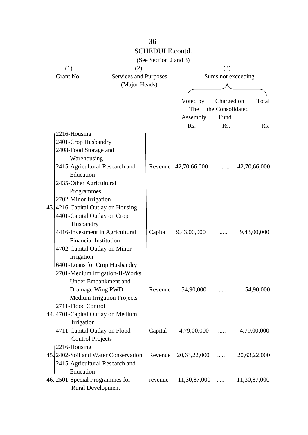|                                 |                                                                  | SCHEDULE.contd.       |                           |                                |                      |  |
|---------------------------------|------------------------------------------------------------------|-----------------------|---------------------------|--------------------------------|----------------------|--|
|                                 |                                                                  | (See Section 2 and 3) |                           |                                |                      |  |
| (1)                             | (2)                                                              |                       | (3)<br>Sums not exceeding |                                |                      |  |
| Grant No.                       | <b>Services and Purposes</b>                                     |                       |                           |                                |                      |  |
|                                 | (Major Heads)                                                    |                       |                           |                                |                      |  |
|                                 |                                                                  |                       |                           |                                |                      |  |
|                                 |                                                                  |                       | Voted by                  | Charged on<br>the Consolidated | Total                |  |
|                                 |                                                                  |                       | The                       |                                |                      |  |
|                                 |                                                                  |                       | Assembly                  | Fund                           |                      |  |
|                                 |                                                                  |                       | Rs.                       | Rs.                            | $\operatorname{Rs.}$ |  |
| 2216-Housing                    |                                                                  |                       |                           |                                |                      |  |
| 2401-Crop Husbandry             |                                                                  |                       |                           |                                |                      |  |
| 2408-Food Storage and           |                                                                  |                       |                           |                                |                      |  |
| Warehousing                     |                                                                  |                       |                           |                                |                      |  |
|                                 | 2415-Agricultural Research and                                   |                       | Revenue 42,70,66,000      |                                | 42,70,66,000         |  |
| Education                       |                                                                  |                       |                           |                                |                      |  |
| 2435-Other Agricultural         |                                                                  |                       |                           |                                |                      |  |
| Programmes                      |                                                                  |                       |                           |                                |                      |  |
| 2702-Minor Irrigation           |                                                                  |                       |                           |                                |                      |  |
|                                 | 43.4216-Capital Outlay on Housing                                |                       |                           |                                |                      |  |
|                                 | 4401-Capital Outlay on Crop                                      |                       |                           |                                |                      |  |
| Husbandry                       |                                                                  |                       |                           |                                |                      |  |
|                                 | 4416-Investment in Agricultural<br><b>Financial Institution</b>  | Capital               | 9,43,00,000               |                                | 9,43,00,000          |  |
|                                 |                                                                  |                       |                           |                                |                      |  |
|                                 | 4702-Capital Outlay on Minor                                     |                       |                           |                                |                      |  |
| Irrigation                      |                                                                  |                       |                           |                                |                      |  |
|                                 | 6401-Loans for Crop Husbandry<br>2701-Medium Irrigation-II-Works |                       |                           |                                |                      |  |
|                                 | Under Embankment and                                             |                       |                           |                                |                      |  |
|                                 | Drainage Wing PWD                                                | Revenue               | 54,90,000                 |                                | 54,90,000            |  |
|                                 | <b>Medium Irrigation Projects</b>                                |                       |                           |                                |                      |  |
| 2711-Flood Control              |                                                                  |                       |                           |                                |                      |  |
|                                 | 44.4701-Capital Outlay on Medium                                 |                       |                           |                                |                      |  |
| Irrigation                      |                                                                  |                       |                           |                                |                      |  |
|                                 | 4711-Capital Outlay on Flood                                     | Capital               | $4,79,00,000$             |                                | 4,79,00,000          |  |
|                                 | <b>Control Projects</b>                                          |                       |                           |                                |                      |  |
| 2216-Housing                    |                                                                  |                       |                           |                                |                      |  |
|                                 | 45. 2402-Soil and Water Conservation                             |                       | Revenue 20,63,22,000      |                                | 20,63,22,000         |  |
|                                 | 2415-Agricultural Research and                                   |                       |                           |                                |                      |  |
| Education                       |                                                                  |                       |                           |                                |                      |  |
| 46. 2501-Special Programmes for |                                                                  | revenue               | $11,30,87,000$            |                                | 11,30,87,000         |  |
|                                 | <b>Rural Development</b>                                         |                       |                           |                                |                      |  |

SCHEDULE.contd.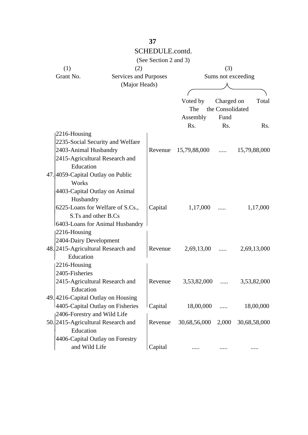|                                    |               | SCHEDULE.contd.       |                      |            |                    |
|------------------------------------|---------------|-----------------------|----------------------|------------|--------------------|
|                                    |               | (See Section 2 and 3) |                      |            |                    |
| (1)                                | (2)           |                       |                      | (3)        |                    |
| Grant No.                          |               | Services and Purposes |                      |            | Sums not exceeding |
|                                    | (Major Heads) |                       |                      |            |                    |
|                                    |               |                       |                      |            |                    |
|                                    |               |                       | Voted by             | Charged on | Total              |
|                                    |               |                       | The the Consolidated |            |                    |
|                                    |               |                       | Assembly             | Fund       |                    |
|                                    |               |                       | Rs.                  | Rs.        | Rs.                |
| 2216-Housing                       |               |                       |                      |            |                    |
| 2235-Social Security and Welfare   |               |                       |                      |            |                    |
| 2403-Animal Husbandry              |               | Revenue               | $15,79,88,000$       |            | 15,79,88,000       |
| 2415-Agricultural Research and     |               |                       |                      |            |                    |
| Education                          |               |                       |                      |            |                    |
| 47.4059-Capital Outlay on Public   |               |                       |                      |            |                    |
| Works                              |               |                       |                      |            |                    |
| 4403-Capital Outlay on Animal      |               |                       |                      |            |                    |
| Husbandry                          |               |                       |                      |            |                    |
| 6225-Loans for Welfare of S.Cs.,   |               | Capital               | 1,17,000             |            | 1,17,000           |
| S.Ts and other B.Cs                |               |                       |                      |            |                    |
| 6403-Loans for Animal Husbandry    |               |                       |                      |            |                    |
| 2216-Housing                       |               |                       |                      |            |                    |
| 2404-Dairy Development             |               |                       |                      |            |                    |
| 48. 2415-Agricultural Research and |               | Revenue               | 2,69,13,00           | $\cdots$   | 2,69,13,000        |
| Education                          |               |                       |                      |            |                    |
| 2216-Housing                       |               |                       |                      |            |                    |
| 2405-Fisheries                     |               |                       |                      |            |                    |
| 2415-Agricultural Research and     |               | Revenue               | 3,53,82,000          | $\cdots$   | 3,53,82,000        |
| Education                          |               |                       |                      |            |                    |
| 49.4216-Capital Outlay on Housing  |               |                       |                      |            |                    |
| 4405-Capital Outlay on Fisheries   |               | Capital               | 18,00,000            | .          | 18,00,000          |
| 2406-Forestry and Wild Life        |               |                       |                      |            |                    |
| 50. 2415-Agricultural Research and |               | Revenue               | 30,68,56,000 2,000   |            | 30,68,58,000       |
| Education                          |               |                       |                      |            |                    |
| 4406-Capital Outlay on Forestry    |               |                       |                      |            |                    |
| and Wild Life                      |               | Capital               |                      |            |                    |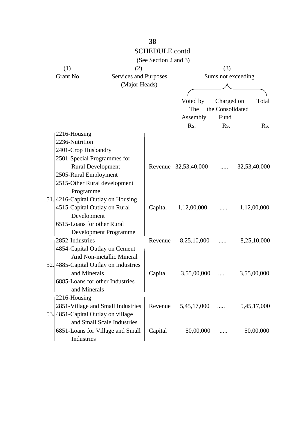#### SCHEDULE.contd. (See Section 2 and 3) (1)  $(2)$   $(3)$ Grant No. Services and Purposes Sums not exceeding (Major Heads) Voted by Charged on Total The the Consolidated Assembly Fund Rs. Rs. Rs.  $|2216 -$ Housing 2236-Nutrition 2401-Crop Husbandry 2501-Special Programmes for Rural Development Revenue 32,53,40,000 ..... 32,53,40,000 2505-Rural Employment 2515-Other Rural development Programme 51. 4216-Capital Outlay on Housing 4515-Capital Outlay on Rural Capital 1,12,00,000 ..... 1,12,00,000 Development 6515-Loans for other Rural Development Programme 2852-Industries Revenue 8,25,10,000 ..... 8,25,10,000 4854-Capital Outlay on Cement And Non-metallic Mineral 52. 4885-Capital Outlay on Industries and Minerals (Capital 3,55,00,000 ..... 3,55,00,000 6885-Loans for other Industries and Minerals 2216-Housing 2851-Village and Small Industries Revenue 5,45,17,000 ..... 5,45,17,000 53. 4851-Capital Outlay on village and Small Scale Industries 6851-Loans for Village and Small Capital 50,00,000 ..... 50,00,000 Industries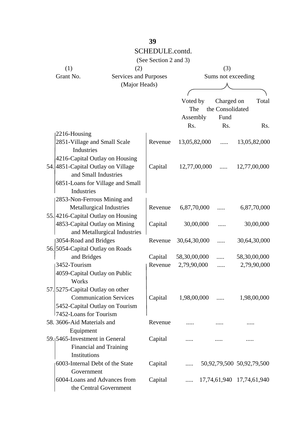|                                             |                       | (See Section 2 and 3) |                    |  |                                    |  |              |
|---------------------------------------------|-----------------------|-----------------------|--------------------|--|------------------------------------|--|--------------|
| (1)                                         | (2)                   |                       |                    |  | (3)                                |  |              |
| Grant No.                                   | Services and Purposes |                       | Sums not exceeding |  |                                    |  |              |
|                                             | (Major Heads)         |                       |                    |  |                                    |  |              |
|                                             |                       |                       |                    |  |                                    |  |              |
|                                             |                       |                       | Voted by           |  | Charged on                         |  | Total        |
|                                             |                       |                       | The                |  | the Consolidated                   |  |              |
|                                             |                       |                       | Assembly           |  | Fund                               |  |              |
|                                             |                       |                       | Rs.                |  | Rs.                                |  | Rs.          |
| $2216$ -Housing                             |                       |                       |                    |  |                                    |  |              |
| 2851-Village and Small Scale                |                       | Revenue               | 13,05,82,000       |  | $\cdots$                           |  | 13,05,82,000 |
| <b>Industries</b>                           |                       |                       |                    |  |                                    |  |              |
| 4216-Capital Outlay on Housing              |                       |                       |                    |  |                                    |  |              |
| 54.4851-Capital Outlay on Village           |                       | Capital               | $12,77,00,000$     |  |                                    |  | 12,77,00,000 |
| and Small Industries                        |                       |                       |                    |  |                                    |  |              |
| 6851-Loans for Village and Small            |                       |                       |                    |  |                                    |  |              |
| <b>Industries</b>                           |                       |                       |                    |  |                                    |  |              |
| 2853-Non-Ferrous Mining and                 |                       |                       |                    |  |                                    |  |              |
| Metallurgical Industries                    |                       | Revenue               | 6,87,70,000        |  |                                    |  | 6,87,70,000  |
| 55.4216-Capital Outlay on Housing           |                       |                       |                    |  |                                    |  |              |
| 4853-Capital Outlay on Mining               |                       | Capital               | 30,00,000          |  | .                                  |  | 30,00,000    |
| and Metallurgical Industries                |                       |                       |                    |  |                                    |  |              |
| 3054-Road and Bridges                       |                       | Revenue               | 30,64,30,000       |  | $\cdots$                           |  | 30,64,30,000 |
| 56. 5054-Capital Outlay on Roads            |                       |                       |                    |  |                                    |  |              |
| and Bridges                                 |                       | Capital               | 58,30,00,000       |  | $\cdots$                           |  | 58,30,00,000 |
| 3452-Tourism                                |                       | Revenue               | 2,79,90,000        |  | .                                  |  | 2,79,90,000  |
| 4059-Capital Outlay on Public               |                       |                       |                    |  |                                    |  |              |
| Works                                       |                       |                       |                    |  |                                    |  |              |
| 57. 5275-Capital Outlay on other            |                       |                       |                    |  |                                    |  |              |
| <b>Communication Services</b>               |                       | Capital               | $1,98,00,000$      |  |                                    |  | 1,98,00,000  |
| 5452-Capital Outlay on Tourism              |                       |                       |                    |  |                                    |  |              |
| 7452-Loans for Tourism                      |                       |                       |                    |  |                                    |  |              |
| 58. 3606-Aid Materials and                  |                       | Revenue               |                    |  |                                    |  |              |
| Equipment                                   |                       |                       |                    |  |                                    |  |              |
| 59. <sub>1</sub> 5465-Investment in General |                       | Capital               |                    |  |                                    |  |              |
| <b>Financial and Training</b>               |                       |                       |                    |  |                                    |  |              |
| Institutions                                |                       |                       |                    |  |                                    |  |              |
| 6003-Internal Debt of the State             |                       | Capital               |                    |  | $\ldots$ 50,92,79,500 50,92,79,500 |  |              |
| Government                                  |                       |                       |                    |  |                                    |  |              |
| 6004-Loans and Advances from                |                       | Capital               |                    |  | $\ldots$ 17,74,61,940 17,74,61,940 |  |              |
| the Central Government                      |                       |                       |                    |  |                                    |  |              |
|                                             |                       |                       |                    |  |                                    |  |              |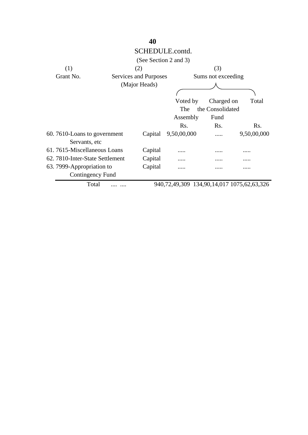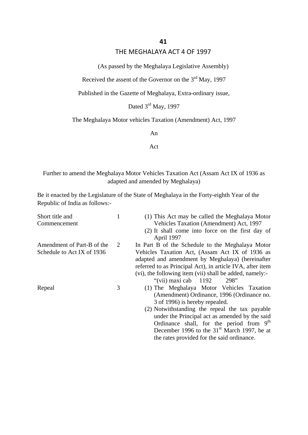#### THE MEGHALAYA ACT 4 OF 1997

(As passed by the Meghalaya Legislative Assembly)

Received the assent of the Governor on the  $3<sup>rd</sup>$  May, 1997

Published in the Gazette of Meghalaya, Extra-ordinary issue,

Dated 3<sup>rd</sup> May, 1997

## The Meghalaya Motor vehicles Taxation (Amendment) Act, 1997

An

Act

Further to amend the Meghalaya Motor Vehicles Taxation Act (Assam Act IX of 1936 as adapted and amended by Meghalaya)

Be it enacted by the Legislature of the State of Meghalaya in the Forty-eighth Year of the Republic of India as follows:-

| Short title and            |   | (1) This Act may be called the Meghalaya Motor            |
|----------------------------|---|-----------------------------------------------------------|
| Commencement               |   | Vehicles Taxation (Amendment) Act, 1997                   |
|                            |   | (2) It shall come into force on the first day of          |
|                            |   | April 1997                                                |
| Amendment of Part-B of the | 2 | In Part B of the Schedule to the Meghalaya Motor          |
| Schedule to Act IX of 1936 |   | Vehicles Taxation Act, (Assam Act IX of 1936 as           |
|                            |   | adapted and amendment by Meghalaya) (hereinafter          |
|                            |   | referred to as Principal Act), in article IVA, after item |
|                            |   | (vi), the following item (vii) shall be added, namely:-   |
|                            |   | "(vii) maxi cab $1192$<br>298"                            |
| Repeal                     | 3 | (1) The Meghalaya Motor Vehicles Taxation                 |
|                            |   | (Amendment) Ordinance, 1996 (Ordinance no.                |
|                            |   | 3 of 1996) is hereby repealed.                            |
|                            |   | (2) Notwithstanding the repeal the tax payable            |
|                            |   | under the Principal act as amended by the said            |
|                            |   | Ordinance shall, for the period from 9 <sup>th</sup>      |
|                            |   | December 1996 to the $31st$ March 1997, be at             |

the rates provided for the said ordinance.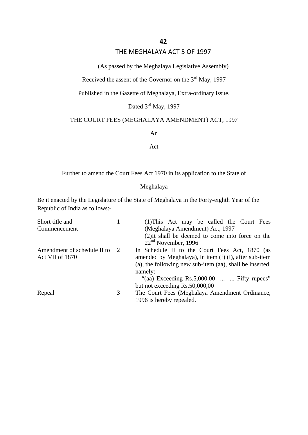#### THE MEGHALAYA ACT 5 OF 1997

(As passed by the Meghalaya Legislative Assembly)

Received the assent of the Governor on the  $3<sup>rd</sup>$  May, 1997

Published in the Gazette of Meghalaya, Extra-ordinary issue,

Dated 3<sup>rd</sup> May, 1997

#### THE COURT FEES (MEGHALAYA AMENDMENT) ACT, 1997

An

Act

Further to amend the Court Fees Act 1970 in its application to the State of

#### Meghalaya

Be it enacted by the Legislature of the State of Meghalaya in the Forty-eighth Year of the Republic of India as follows:-

| Short title and             |   | (1) This Act may be called the Court Fees                |
|-----------------------------|---|----------------------------------------------------------|
| Commencement                |   | (Meghalaya Amendment) Act, 1997                          |
|                             |   | (2) It shall be deemed to come into force on the         |
|                             |   | $22nd$ November, 1996                                    |
| Amendment of schedule II to | 2 | In Schedule II to the Court Fees Act, 1870 (as           |
| Act VII of 1870             |   | amended by Meghalaya), in item (f) (i), after sub-item   |
|                             |   | (a), the following new sub-item (aa), shall be inserted, |
|                             |   | namely:-                                                 |
|                             |   | "(aa) Exceeding $Rs.5,000.00$ Fifty rupees"              |
|                             |   | but not exceeding Rs.50,000,00                           |
| Repeal                      | 3 | The Court Fees (Meghalaya Amendment Ordinance,           |
|                             |   | 1996 is hereby repealed.                                 |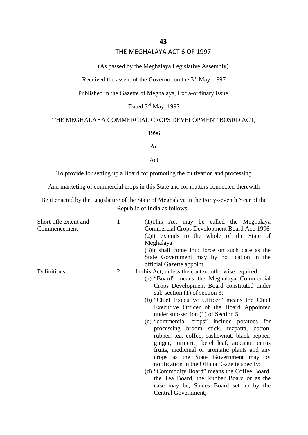#### THE MEGHALAYA ACT 6 OF 1997

(As passed by the Meghalaya Legislative Assembly)

Received the assent of the Governor on the  $3<sup>rd</sup>$  May, 1997

Published in the Gazette of Meghalaya, Extra-ordinary issue,

Dated 3<sup>rd</sup> May, 1997

#### THE MEGHALAYA COMMERCIAL CROPS DEVELOPMENT BOSRD ACT,

1996

An

Act

To provide for setting up a Board for promoting the cultivation and processing

And marketing of commercial crops in this State and for matters connected therewith

Be it enacted by the Legislature of the State of Meghalaya in the Forty-seventh Year of the Republic of India as follows:-

| Short title extent and<br>Commencement | $\mathbf{1}$   | (1) This Act may be called the Meghalaya<br>Commercial Crops Development Board Act, 1996<br>(2) It extends to the whole of the State of<br>Meghalaya<br>(3) It shall come into force on such date as the<br>State Government may by notification in the<br>official Gazette appoint.                                                                                                                                                                                                                                                                                                                                                                                                                                                                                                                                           |
|----------------------------------------|----------------|--------------------------------------------------------------------------------------------------------------------------------------------------------------------------------------------------------------------------------------------------------------------------------------------------------------------------------------------------------------------------------------------------------------------------------------------------------------------------------------------------------------------------------------------------------------------------------------------------------------------------------------------------------------------------------------------------------------------------------------------------------------------------------------------------------------------------------|
| Definitions                            | $\overline{2}$ | In this Act, unless the context otherwise required-<br>(a) "Board" means the Meghalaya Commercial<br>Crops Development Board constituted under<br>sub-section $(1)$ of section 3;<br>(b) "Chief Executive Officer" means the Chief<br>Executive Officer of the Board Appointed<br>under sub-section $(1)$ of Section 5;<br>(c) "commercial crops" include potatoes for<br>processing broom stick, tezpatta, cotton,<br>rubber, tea, coffee, cashewnut, black pepper,<br>ginger, turmeric, betel leaf, arecanut citrus<br>fruits, medicinal or aromatic plants and any<br>crops as the State Government may by<br>notification in the Official Gazette specify;<br>(d) "Commodity Board" means the Coffee Board,<br>the Tea Board, the Rubber Board or as the<br>case may be, Spices Board set up by the<br>Central Government; |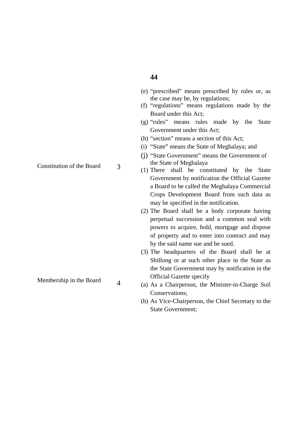#### (e) "prescribed" means prescribed by rules or, as the case may be, by regulations;

- (f) "regulations" means regulations made by the Board under this Act;
- (g) "rules" means rules made by the State Government under this Act;
- (h) "section" means a section of this Act;
- (i) "State" means the State of Meghalaya; and
- (j) "State Government" means the Government of the State of Meghalaya
- (1) There shall be constituted by the State Government by notification the Official Gazette a Board to be called the Meghalaya Commercial Crops Development Board from such data as may be specified in the notification.
- (2) The Board shall be a body corporate having perpetual succession and a common seal with powers to acquire, hold, mortgage and dispose of property and to enter into contract and may by the said name sue and be sued.
- (3) The headquarters of the Board shall be at Shillong or at such other place in the State as the State Government may by notification in the Official Gazette specify
- (a) As a Chairperson, the Minister-in-Charge Soil Conservations;
- (b) As Vice-Chairperson, the Chief Secretary to the State Government;

Constitution of the Board

3

4

Membership in the Board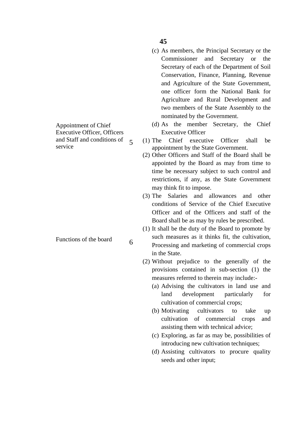- (c) As members, the Principal Secretary or the Commissioner and Secretary or the Secretary of each of the Department of Soil Conservation, Finance, Planning, Revenue and Agriculture of the State Government, one officer form the National Bank for Agriculture and Rural Development and two members of the State Assembly to the nominated by the Government.
- (d) As the member Secretary, the Chief Executive Officer
- (1) The Chief executive Officer shall be appointment by the State Government.
- (2) Other Officers and Staff of the Board shall be appointed by the Board as may from time to time be necessary subject to such control and restrictions, if any, as the State Government may think fit to impose.
- (3) The Salaries and allowances and other conditions of Service of the Chief Executive Officer and of the Officers and staff of the Board shall be as may by rules be prescribed.
- (1) It shall be the duty of the Board to promote by such measures as it thinks fit, the cultivation, Processing and marketing of commercial crops in the State.
- (2) Without prejudice to the generally of the provisions contained in sub-section (1) the measures referred to therein may include:-
	- (a) Advising the cultivators in land use and land development particularly for cultivation of commercial crops;
	- (b) Motivating cultivators to take up cultivation of commercial crops and assisting them with technical advice;
	- (c) Exploring, as far as may be, possibilities of introducing new cultivation techniques;
	- (d) Assisting cultivators to procure quality seeds and other input;

Appointment of Chief Executive Officer, Officers and Staff and conditions of service 5

Functions of the board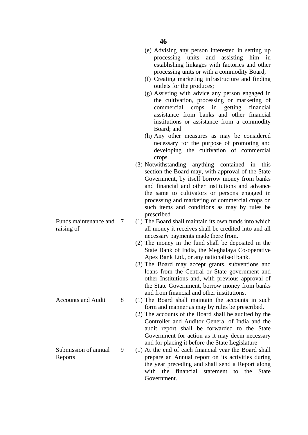processing units and assisting him in establishing linkages with factories and other processing units or with a commodity Board; (f) Creating marketing infrastructure and finding outlets for the produces; (g) Assisting with advice any person engaged in

the cultivation, processing or marketing of commercial crops in getting financial assistance from banks and other financial institutions or assistance from a commodity Board; and

(e) Advising any person interested in setting up

- (h) Any other measures as may be considered necessary for the purpose of promoting and developing the cultivation of commercial crops.
- (3) Notwithstanding anything contained in this section the Board may, with approval of the State Government, by itself borrow money from banks and financial and other institutions and advance the same to cultivators or persons engaged in processing and marketing of commercial crops on such items and conditions as may by rules be prescribed
- (1) The Board shall maintain its own funds into which all money it receives shall be credited into and all necessary payments made there from.
- (2) The money in the fund shall be deposited in the State Bank of India, the Meghalaya Co-operative Apex Bank Ltd., or any nationalised bank.
- (3) The Board may accept grants, subventions and loans from the Central or State government and other Institutions and, with previous approval of the State Government, borrow money from banks and from financial and other institutions.
- (1) The Board shall maintain the accounts in such form and manner as may by rules be prescribed.
- (2) The accounts of the Board shall be audited by the Controller and Auditor General of India and the audit report shall be forwarded to the State Government for action as it may deem necessary and for placing it before the State Legislature
- (1) At the end of each financial year the Board shall prepare an Annual report on its activities during the year preceding and shall send a Report along with the financial statement to the State Government.

Funds maintenance and 7 raising of

Accounts and Audit

8

Submission of annual Reports 9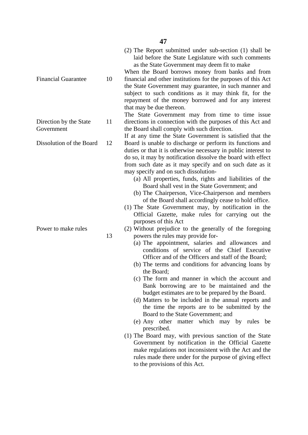(2) The Report submitted under sub-section (1) shall be laid before the State Legislature with such comments as the State Government may deem fit to make

When the Board borrows money from banks and from financial and other institutions for the purposes of this Act the State Government may guarantee, in such manner and subject to such conditions as it may think fit, for the repayment of the money borrowed and for any interest that may be due thereon.

The State Government may from time to time issue directions in connection with the purposes of this Act and the Board shall comply with such direction.

If at any time the State Government is satisfied that the Board is unable to discharge or perform its functions and duties or that it is otherwise necessary in public interest to do so, it may by notification dissolve the board with effect from such date as it may specify and on such date as it may specify and on such dissolution-

- (a) All properties, funds, rights and liabilities of the Board shall vest in the State Government; and
- (b) The Chairperson, Vice-Chairperson and members of the Board shall accordingly cease to hold office.
- (1) The State Government may, by notification in the Official Gazette, make rules for carrying out the purposes of this Act
- (2) Without prejudice to the generally of the foregoing powers the rules may provide for-
	- (a) The appointment, salaries and allowances and conditions of service of the Chief Executive Officer and of the Officers and staff of the Board;
	- (b) The terms and conditions for advancing loans by the Board;
	- (c) The form and manner in which the account and Bank borrowing are to be maintained and the budget estimates are to be prepared by the Board.
	- (d) Matters to be included in the annual reports and the time the reports are to be submitted by the Board to the State Government; and
	- (e) Any other matter which may by rules be prescribed.
- (1) The Board may, with previous sanction of the State Government by notification in the Official Gazette make regulations not inconsistent with the Act and the rules made there under for the purpose of giving effect to the provisions of this Act.

Financial Guarantee

Direction by the State Government 11

Dissolution of the Board 12

Power to make rules

13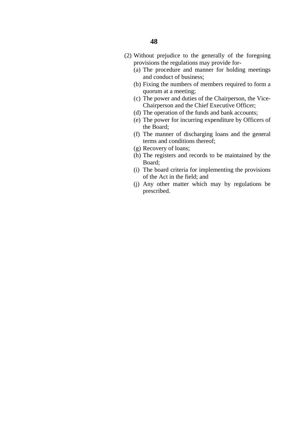- (a) The procedure and manner for holding meetings and conduct of business;
- (b) Fixing the numbers of members required to form a quorum at a meeting;
- (c) The power and duties of the Chairperson, the Vice-Chairperson and the Chief Executive Officer;
- (d) The operation of the funds and bank accounts;
- (e) The power for incurring expenditure by Officers of the Board;
- (f) The manner of discharging loans and the general terms and conditions thereof;
- (g) Recovery of loans;
- (h) The registers and records to be maintained by the Board;
- (i) The board criteria for implementing the provisions of the Act in the field; and
- (j) Any other matter which may by regulations be prescribed.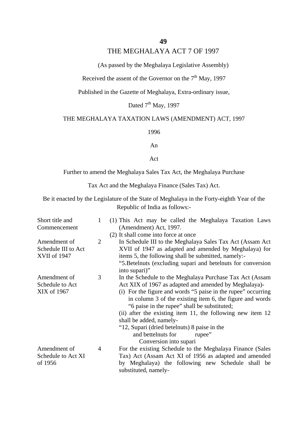#### THE MEGHALAYA ACT 7 OF 1997

(As passed by the Meghalaya Legislative Assembly)

Received the assent of the Governor on the  $7<sup>th</sup>$  May, 1997

Published in the Gazette of Meghalaya, Extra-ordinary issue,

Dated  $7<sup>th</sup>$  May, 1997

#### THE MEGHALAYA TAXATION LAWS (AMENDMENT) ACT, 1997

1996

An

Act

Further to amend the Meghalaya Sales Tax Act, the Meghalaya Purchase

Tax Act and the Meghalaya Finance (Sales Tax) Act.

Be it enacted by the Legislature of the State of Meghalaya in the Forty-eighth Year of the Republic of India as follows:-

| Short title and     | 1              | (1) This Act may be called the Meghalaya Taxation Laws                    |
|---------------------|----------------|---------------------------------------------------------------------------|
| Commencement        |                | (Amendment) Act, 1997.                                                    |
|                     |                | (2) It shall come into force at once                                      |
| Amendment of        | $\overline{2}$ | In Schedule III to the Meghalaya Sales Tax Act (Assam Act                 |
| Schedule III to Act |                | XVII of 1947 as adapted and amended by Meghalaya) for                     |
| <b>XVII of 1947</b> |                | items 5, the following shall be submitted, namely:-                       |
|                     |                | "5. Betelnuts (excluding supari and betelnuts for conversion              |
|                     |                | into supari)"                                                             |
| Amendment of        | 3              | In the Schedule to the Meghalaya Purchase Tax Act (Assam                  |
| Schedule to Act     |                | Act XIX of 1967 as adapted and amended by Meghalaya)-                     |
| XIX of 1967         |                | (i) For the figure and words "5 paise in the rupee" occurring             |
|                     |                | in column 3 of the existing item 6, the figure and words                  |
|                     |                | "6 paise in the rupee" shall be substituted;                              |
|                     |                | (ii) after the existing item 11, the following new item 12                |
|                     |                | shall be added, namely-                                                   |
|                     |                | "12, Supari (dried betelnuts) 8 paise in the                              |
|                     |                | and bettelnuts for<br>rupee"                                              |
|                     |                | Conversion into supari                                                    |
| Amendment of        | 4              | For the existing Schedule to the Meghalaya Finance (Sales                 |
| Schedule to Act XI  |                | Tax) Act (Assam Act XI of 1956 as adapted and amended                     |
| of 1956             |                | by Meghalaya) the following new Schedule shall be<br>substituted, namely- |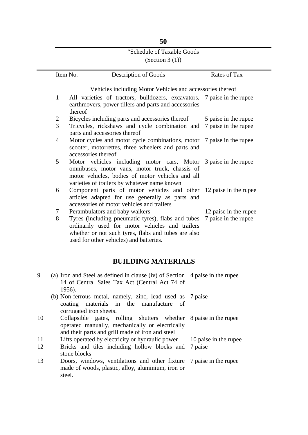# "Schedule of Taxable Goods

## (Section 3  $(1)$ )

|   | Item No.       | Description of Goods                                                                          | Rates of Tax          |
|---|----------------|-----------------------------------------------------------------------------------------------|-----------------------|
|   |                |                                                                                               |                       |
|   |                | Vehicles including Motor Vehicles and accessories thereof                                     |                       |
|   | $\mathbf{1}$   | All varieties of tractors, bulldozers, excavators,                                            | 7 paise in the rupee  |
|   |                | earthmovers, power tillers and parts and accessories<br>thereof                               |                       |
|   | $\overline{c}$ | Bicycles including parts and accessories thereof                                              | 5 paise in the rupee  |
|   | 3              | Tricycles, rickshaws and cycle combination and                                                | 7 paise in the rupee  |
|   |                | parts and accessories thereof                                                                 |                       |
|   | $\overline{4}$ | Motor cycles and motor cycle combinations, motor                                              | 7 paise in the rupee  |
|   |                | scooter, motorrettes, three wheelers and parts and                                            |                       |
|   |                | accessories thereof                                                                           |                       |
|   | 5              | Motor vehicles including motor cars, Motor                                                    | 3 paise in the rupee  |
|   |                | omnibuses, motor vans, motor truck, chassis of                                                |                       |
|   |                | motor vehicles, bodies of motor vehicles and all                                              |                       |
|   |                | varieties of trailers by whatever name known                                                  |                       |
|   | 6              | Component parts of motor vehicles and other                                                   | 12 paise in the rupee |
|   |                | articles adapted for use generally as parts and<br>accessories of motor vehicles and trailers |                       |
|   | 7              | Perambulators and baby walkers                                                                | 12 paise in the rupee |
|   | 8              | Tyres (including pneumatic tyres), flabs and tubes                                            | 7 paise in the rupee  |
|   |                | ordinarily used for motor vehicles and trailers                                               |                       |
|   |                | whether or not such tyres, flabs and tubes are also                                           |                       |
|   |                | used for other vehicles) and batteries.                                                       |                       |
|   |                |                                                                                               |                       |
|   |                |                                                                                               |                       |
|   |                | <b>BUILDING MATERIALS</b>                                                                     |                       |
| 9 |                | (a) Iron and Steel as defined in clause (iv) of Section                                       | 4 paise in the rupee  |
|   |                | 14 of Central Sales Tax Act (Central Act 74 of                                                |                       |
|   |                | 1956).                                                                                        |                       |
|   |                | (b) Non-ferrous metal, namely, zinc, lead used as 7 paise                                     |                       |
|   |                | coating<br>materials in<br>the<br>manufacture<br>of                                           |                       |
|   |                | corrugated iron sheets.                                                                       |                       |

10 Collapsible gates, rolling shutters whether 8 paise in the rupee operated manually, mechanically or electrically and their parts and grill made of iron and steel

10 paise in the rupee

- 11 Lifts operated by electricity or hydraulic power
- 12 Bricks and tiles including hollow blocks and 7 paise stone blocks
- 13 Doors, windows, ventilations and other fixture 7 paise in the rupeemade of woods, plastic, alloy, aluminium, iron or steel.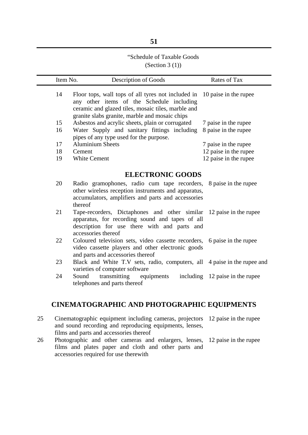#### "Schedule of Taxable Goods (Section 3  $(1)$ )

| Item No. | Description of Goods                                                                                                                                                                                    | Rates of Tax                    |
|----------|---------------------------------------------------------------------------------------------------------------------------------------------------------------------------------------------------------|---------------------------------|
| 14       | Floor tops, wall tops of all tyres not included in<br>any other items of the Schedule including<br>ceramic and glazed tiles, mosaic tiles, marble and<br>granite slabs granite, marble and mosaic chips | 10 paise in the rupee           |
| 15       | Asbestos and acrylic sheets, plain or corrugated                                                                                                                                                        | 7 paise in the rupee            |
| 16       | Water Supply and sanitary fittings including<br>pipes of any type used for the purpose.                                                                                                                 | 8 paise in the rupee            |
| 17       | <b>Aluminium Sheets</b>                                                                                                                                                                                 | 7 paise in the rupee            |
| 18       | Cement                                                                                                                                                                                                  | 12 paise in the rupee           |
| 19       | <b>White Cement</b>                                                                                                                                                                                     | 12 paise in the rupee           |
|          | <b>ELECTRONIC GOODS</b>                                                                                                                                                                                 |                                 |
| 20       | Radio gramophones, radio cum tape recorders, 8 paise in the rupee<br>other wireless reception instruments and apparatus,<br>accumulators, amplifiers and parts and accessories<br>thereof               |                                 |
| 21       | Tape-recorders, Dictaphones and other similar 12 paise in the rupee<br>apparatus, for recording sound and tapes of all<br>description for use there with and parts and<br>accessories thereof           |                                 |
| 22       | Coloured television sets, video cassette recorders, 6 paise in the rupee<br>video cassette players and other electronic goods<br>and parts and accessories thereof                                      |                                 |
| 23       | Black and White T.V sets, radio, computers, all 4 paise in the rupee and<br>varieties of computer software                                                                                              |                                 |
| 24       | transmitting<br>Sound<br>equipments<br>telephones and parts thereof                                                                                                                                     | including 12 paise in the rupee |

#### **CINEMATOGRAPHIC AND PHOTOGRAPHIC EQUIPMENTS**

- 25 Cinematographic equipment including cameras, projectors 12 paise in the rupee and sound recording and reproducing equipments, lenses, films and parts and accessories thereof
- 26 Photographic and other cameras and enlargers, lenses, 12 paise in the rupeefilms and plates paper and cloth and other parts and accessories required for use therewith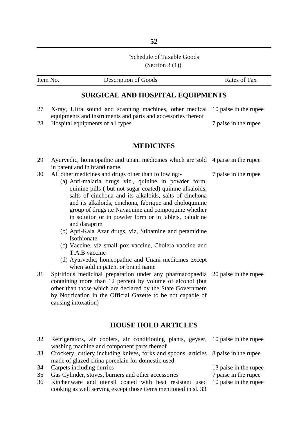## "Schedule of Taxable Goods

(Section 3  $(1)$ )

| Item No. | Description of Goods                                                                                                                                                                                                                                                                                                                                                                                                                                                                                                                                                                                                                                                             | Rates of Tax                                  |
|----------|----------------------------------------------------------------------------------------------------------------------------------------------------------------------------------------------------------------------------------------------------------------------------------------------------------------------------------------------------------------------------------------------------------------------------------------------------------------------------------------------------------------------------------------------------------------------------------------------------------------------------------------------------------------------------------|-----------------------------------------------|
|          | <b>SURGICAL AND HOSPITAL EQUIPMENTS</b>                                                                                                                                                                                                                                                                                                                                                                                                                                                                                                                                                                                                                                          |                                               |
| 27       | X-ray, Ultra sound and scanning machines, other medical<br>equipments and instruments and parts and accessories thereof                                                                                                                                                                                                                                                                                                                                                                                                                                                                                                                                                          | 10 paise in the rupee                         |
| 28       | Hospital equipments of all types                                                                                                                                                                                                                                                                                                                                                                                                                                                                                                                                                                                                                                                 | 7 paise in the rupee                          |
|          | <b>MEDICINES</b>                                                                                                                                                                                                                                                                                                                                                                                                                                                                                                                                                                                                                                                                 |                                               |
| 29       | Ayurvedic, homeopathic and unani medicines which are sold<br>in patent and in brand name.                                                                                                                                                                                                                                                                                                                                                                                                                                                                                                                                                                                        | 4 paise in the rupee                          |
| 30       | All other medicines and drugs other than following:-<br>(a) Anti-malaria drugs viz., quinine in powder form,<br>quinine pills (but not sugar coated) quinine alkaloids,<br>salts of cinchona and its alkaloids, salts of cinchona<br>and its alkaloids, cinchona, fabrique and choloquinine<br>group of drugs i.e Navaquine and compoquine whether<br>in solution or in powder form or in tablets, paludrine<br>and daraprim<br>(b) Apti-Kala Azar drugs, viz, Stibamine and petamidine<br>Isothionate<br>(c) Vaccine, viz small pox vaccine, Cholera vaccine and<br>T.A.B vaccine<br>(d) Ayurvedic, homeopathic and Unani medicines except<br>when sold in patent or brand name | 7 paise in the rupee                          |
| 31       | Spiritious medicinal preparation under any pharmacopaedia<br>containing more than 12 percent by volume of alcohol (but<br>other than those which are declared by the State Governmetn<br>by Notification in the Official Gazette to be not capable of<br>causing intoxation)                                                                                                                                                                                                                                                                                                                                                                                                     | 20 paise in the rupee                         |
|          | <b>HOUSE HOLD ARTICLES</b>                                                                                                                                                                                                                                                                                                                                                                                                                                                                                                                                                                                                                                                       |                                               |
| 32       | Refrigerators, air coolers, air conditioning plants, geyser,<br>washing machine and component parts thereof                                                                                                                                                                                                                                                                                                                                                                                                                                                                                                                                                                      | 10 paise in the rupee                         |
| 33       | Crockery, cutlery including knives, forks and spoons, articles<br>made of glazed china porcelain for domestic used.                                                                                                                                                                                                                                                                                                                                                                                                                                                                                                                                                              | 8 paise in the rupee                          |
| 34       | Carpets including durries                                                                                                                                                                                                                                                                                                                                                                                                                                                                                                                                                                                                                                                        | 13 paise in the rupee                         |
| 35<br>36 | Gas Cylinder, stoves, burners and other accessories<br>Kitchenware and utensil coated with heat resistant used                                                                                                                                                                                                                                                                                                                                                                                                                                                                                                                                                                   | 7 paise in the rupee<br>10 paise in the rupee |

cooking as well serving except those items mentioned in sl. 33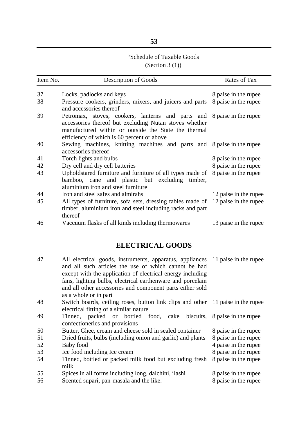#### **53**

## "Schedule of Taxable Goods

(Section 3  $(1)$ )

| Item No. | Description of Goods                                                                                                                                                                                                                   | Rates of Tax          |
|----------|----------------------------------------------------------------------------------------------------------------------------------------------------------------------------------------------------------------------------------------|-----------------------|
| 37       | Locks, padlocks and keys                                                                                                                                                                                                               | 8 paise in the rupee  |
| 38       | Pressure cookers, grinders, mixers, and juicers and parts<br>and accessories thereof                                                                                                                                                   | 8 paise in the rupee  |
| 39       | Petromax, stoves, cookers, lanterns and parts and 8 paise in the rupee<br>accessories thereof but excluding Nutan stoves whether<br>manufactured within or outside the State the thermal<br>efficiency of which is 60 percent or above |                       |
| 40       | Sewing machines, knitting machines and parts and 8 paise in the rupee<br>accessories thereof                                                                                                                                           |                       |
| 41       | Torch lights and bulbs                                                                                                                                                                                                                 | 8 paise in the rupee  |
| 42       | Dry cell and dry cell batteries                                                                                                                                                                                                        | 8 paise in the rupee  |
| 43       | Upholdstared furniture and furniture of all types made of 8 paise in the rupee<br>bamboo, cane and plastic but excluding<br>timber,<br>aluminium iron and steel furniture                                                              |                       |
| 44       | Iron and steel safes and almirahs                                                                                                                                                                                                      | 12 paise in the rupee |
| 45       | All types of furniture, sofa sets, dressing tables made of<br>timber, aluminium iron and steel including racks and part<br>thereof                                                                                                     | 12 paise in the rupee |
| 46       | Vaccuum flasks of all kinds including thermowares                                                                                                                                                                                      | 13 paise in the rupee |

## **ELECTRICAL GOODS**

| 47 | All electrical goods, instruments, apparatus, appliances 11 paise in the rupee  |                      |
|----|---------------------------------------------------------------------------------|----------------------|
|    | and all such articles the use of which cannot be had                            |                      |
|    | except with the application of electrical energy including                      |                      |
|    | fans, lighting bulbs, electrical earthenware and porcelain                      |                      |
|    | and all other accessories and component parts either sold                       |                      |
|    | as a whole or in part                                                           |                      |
| 48 | Switch boards, ceiling roses, button link clips and other 11 paise in the rupee |                      |
|    | electrical fitting of a similar nature                                          |                      |
| 49 | Tinned, packed or bottled food, cake biscuits, 8 paise in the rupee             |                      |
|    | confectioneries and provisions                                                  |                      |
| 50 | Butter, Ghee, cream and cheese sold in sealed container                         | 8 paise in the rupee |
| 51 | Dried fruits, bulbs (including onion and garlic) and plants                     | 8 paise in the rupee |
| 52 | Baby food                                                                       | 4 paise in the rupee |
| 53 | Ice food including Ice cream                                                    | 8 paise in the rupee |
| 54 | Tinned, bottled or packed milk food but excluding fresh                         | 8 paise in the rupee |
|    | milk                                                                            |                      |
| 55 | Spices in all forms including long, dalchini, ilashi                            | 8 paise in the rupee |
| 56 | Scented supari, pan-masala and the like.                                        | 8 paise in the rupee |
|    |                                                                                 |                      |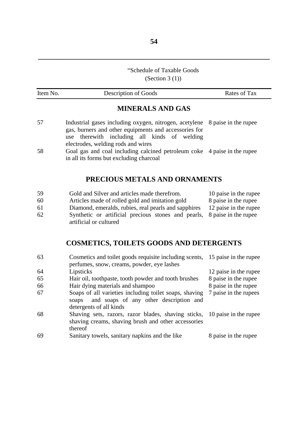## "Schedule of Taxable Goods

(Section 3  $(1)$ )

| Item No. | Description of Goods                                                                                                                                                                                                          | Rates of Tax          |
|----------|-------------------------------------------------------------------------------------------------------------------------------------------------------------------------------------------------------------------------------|-----------------------|
|          | <b>MINERALS AND GAS</b>                                                                                                                                                                                                       |                       |
| 57       | Industrial gases including oxygen, nitrogen, acetylene 8 paise in the rupee<br>gas, burners and other equipments and accessories for<br>therewith including all kinds of welding<br>use<br>electrodes, welding rods and wires |                       |
| 58       | Goal gas and coal including calcined petroleum coke 4 paise in the rupee<br>in all its forms but excluding charcoal                                                                                                           |                       |
|          | PRECIOUS METALS AND ORNAMENTS                                                                                                                                                                                                 |                       |
| 59       | Gold and Silver and articles made therefrom.                                                                                                                                                                                  | 10 paise in the rupee |
| 60       | Articles made of rolled gold and imitation gold                                                                                                                                                                               | 8 paise in the rupee  |
| 61       | Diamond, emeralds, rubies, real pearls and sapphires                                                                                                                                                                          | 12 paise in the rupee |
| 62       | Synthetic or artificial precious stones and pearls,                                                                                                                                                                           | 8 paise in the rupee  |

# **COSMETICS, TOILETS GOODS AND DETERGENTS**

artificial or cultured

| 63 | Cosmetics and toilet goods requisite including scents, 15 paise in the rupee                                                                |                       |
|----|---------------------------------------------------------------------------------------------------------------------------------------------|-----------------------|
|    | perfumes, snow, creams, powder, eye lashes                                                                                                  |                       |
| 64 | Lipsticks                                                                                                                                   | 12 paise in the rupee |
| 65 | Hair oil, toothpaste, tooth powder and tooth brushes                                                                                        | 8 paise in the rupee  |
| 66 | Hair dying materials and shampoo                                                                                                            | 8 paise in the rupee  |
| 67 | Soaps of all varieties including toilet soaps, shaving<br>and soaps of any other description and<br>soaps                                   | 7 paise in the rupees |
|    | detergents of all kinds                                                                                                                     |                       |
| 68 | Shaving sets, razors, razor blades, shaving sticks, 10 paise in the rupee<br>shaving creams, shaving brush and other accessories<br>thereof |                       |
| 69 | Sanitary towels, sanitary napkins and the like                                                                                              | 8 paise in the rupee  |
|    |                                                                                                                                             |                       |

**\_\_\_\_\_\_\_\_\_\_\_\_\_\_\_\_\_\_\_\_\_\_\_\_\_\_\_\_\_\_\_\_\_\_\_\_\_\_\_\_\_\_\_\_\_\_\_\_\_\_\_\_\_\_\_\_\_\_\_\_\_\_\_\_**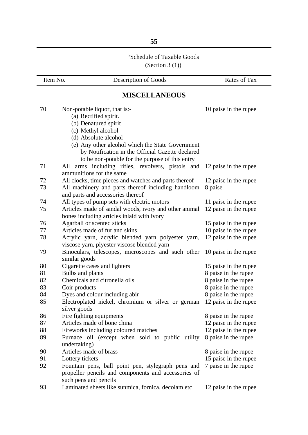## "Schedule of Taxable Goods

(Section 3 (1))

| Item No. | <b>Description of Goods</b>                                              | Rates of Tax          |
|----------|--------------------------------------------------------------------------|-----------------------|
|          | <b>MISCELLANEOUS</b>                                                     |                       |
| 70       | Non-potable liquor, that is:-                                            | 10 paise in the rupee |
|          | (a) Rectified spirit.                                                    |                       |
|          | (b) Denatured spirit                                                     |                       |
|          | (c) Methyl alcohol                                                       |                       |
|          | (d) Absolute alcohol                                                     |                       |
|          | (e) Any other alcohol which the State Government                         |                       |
|          | by Notification in the Official Gazette declared                         |                       |
|          | to be non-potable for the purpose of this entry                          |                       |
| 71       | arms including rifles, revolvers, pistols and<br>All                     | 12 paise in the rupee |
|          | ammunitions for the same                                                 |                       |
| 72       | All clocks, time pieces and watches and parts thereof                    | 12 paise in the rupee |
| 73       | All machinery and parts thereof including handloom                       | 8 paise               |
|          | and parts and accessories thereof                                        |                       |
| 74       | All types of pump sets with electric motors                              | 11 paise in the rupee |
| 75       | Articles made of sandal woods, ivory and other animal                    | 12 paise in the rupee |
| 76       | bones including articles inlaid with ivory<br>Agarbali or scented sticks | 15 paise in the rupee |
| 77       | Articles made of fur and skins                                           | 10 paise in the rupee |
| 78       | Acrylic yarn, acrylic blended yarn polyester yarn,                       | 12 paise in the rupee |
|          | viscose yarn, plyester viscose blended yarn                              |                       |
| 79       | Binoculars, telescopes, microscopes and such other                       | 10 paise in the rupee |
|          | similar goods                                                            |                       |
| 80       | Cigarette cases and lighters                                             | 15 paise in the rupee |
| 81       | Bulbs and plants                                                         | 8 paise in the rupee  |
| 82       | Chemicals and citronella oils                                            | 8 paise in the rupee  |
| 83       | Coir products                                                            | 8 paise in the rupee  |
| 84       | Dyes and colour including abir                                           | 8 paise in the rupee  |
| 85       | Electroplated nickel, chromium or silver or german<br>silver goods       | 12 paise in the rupee |
| 86       | Fire fighting equipments                                                 | 8 paise in the rupee  |
| 87       | Articles made of bone china                                              | 12 paise in the rupee |
| 88       | Fireworks including coloured matches                                     | 12 paise in the rupee |
| 89       | Furnace oil (except when sold to public utility                          | 8 paise in the rupee  |
|          | undertaking)                                                             |                       |
| 90       | Articles made of brass                                                   | 8 paise in the rupee  |
| 91       | Lottery tickets                                                          | 15 paise in the rupee |
| 92       | Fountain pens, ball point pen, stylegraph pens and                       | 7 paise in the rupee  |
|          | propeller pencils and components and accessories of                      |                       |
|          | such pens and pencils                                                    |                       |
| 93       | Laminated sheets like sunmica, fornica, decolam etc                      | 12 paise in the rupee |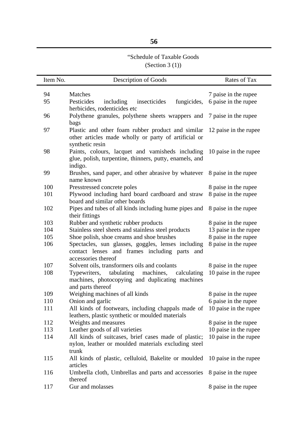## **56**

# "Schedule of Taxable Goods

(Section 3 (1))

| Item No. | Description of Goods                                                                                                           | Rates of Tax          |
|----------|--------------------------------------------------------------------------------------------------------------------------------|-----------------------|
| 94       | Matches                                                                                                                        | 7 paise in the rupee  |
| 95       | Pesticides<br>insecticides<br>fungicides,<br>including                                                                         | 6 paise in the rupee  |
|          | herbicides, rodenticides etc                                                                                                   |                       |
| 96       | Polythene granules, polythene sheets wrappers and                                                                              | 7 paise in the rupee  |
|          | bags                                                                                                                           |                       |
| 97       | Plastic and other foam rubber product and similar<br>other articles made wholly or party of artificial or<br>synthetic resin   | 12 paise in the rupee |
| 98       | Paints, colours, lacquet and vamisheds including<br>glue, polish, turpentine, thinners, putty, enamels, and<br>indigo.         | 10 paise in the rupee |
| 99       | Brushes, sand paper, and other abrasive by whatever 8 paise in the rupee<br>name known                                         |                       |
| 100      | Presstressed concrete poles                                                                                                    | 8 paise in the rupee  |
| 101      | Plywood including hard board cardboard and straw<br>board and similar other boards                                             | 8 paise in the rupee  |
| 102      | Pipes and tubes of all kinds including hume pipes and<br>their fittings                                                        | 8 paise in the rupee  |
| 103      | Rubber and synthetic rubber products                                                                                           | 8 paise in the rupee  |
| 104      | Stainless steel sheets and stainless steel products                                                                            | 13 paise in the rupee |
| 105      | Shoe polish, shoe creams and shoe brushes                                                                                      | 8 paise in the rupee  |
| 106      | Spectacles, sun glasses, goggles, lenses including<br>contact lenses and frames including parts and<br>accessories thereof     | 8 paise in the rupee  |
| 107      | Solvent oils, transformers oils and coolants                                                                                   | 8 paise in the rupee  |
| 108      | tabulating<br>machines,<br>Typewriters,<br>calculating<br>machines, photocopying and duplicating machines<br>and parts thereof | 10 paise in the rupee |
| 109      | Weighing machines of all kinds                                                                                                 | 8 paise in the rupee  |
| 110      | Onion and garlic                                                                                                               | 6 paise in the rupee  |
| 111      | All kinds of footwears, including chappals made of 10 paise in the rupee<br>leathers, plastic synthetic or moulded materials   |                       |
| 112      | Weights and measures                                                                                                           | 8 paise in the rupee  |
| 113      | Leather goods of all varieties                                                                                                 | 10 paise in the rupee |
| 114      | All kinds of suitcases, brief cases made of plastic;<br>nylon, leather or moulded materials excluding steel<br>trunk           | 10 paise in the rupee |
| 115      | All kinds of plastic, celluloid, Bakelite or moulded<br>articles                                                               | 10 paise in the rupee |
| 116      | Umbrella cloth, Umbrellas and parts and accessories<br>thereof                                                                 | 8 paise in the rupee  |
| 117      | Gur and molasses                                                                                                               | 8 paise in the rupee  |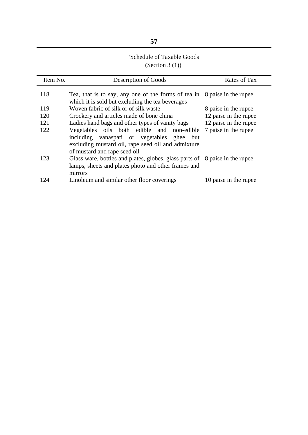# **57**

## "Schedule of Taxable Goods (Section 3 (1))

| Item No. | Description of Goods                                                                                                                                                           | Rates of Tax          |
|----------|--------------------------------------------------------------------------------------------------------------------------------------------------------------------------------|-----------------------|
| 118      | Tea, that is to say, any one of the forms of tea in<br>which it is sold but excluding the tea beverages                                                                        | 8 paise in the rupee  |
| 119      | Woven fabric of silk or of silk waste                                                                                                                                          | 8 paise in the rupee  |
| 120      | Crockery and articles made of bone china                                                                                                                                       | 12 paise in the rupee |
| 121      | Ladies hand bags and other types of vanity bags                                                                                                                                | 12 paise in the rupee |
| 122      | Vegetables oils both edible and non-edible<br>including vanaspati or vegetables ghee but<br>excluding mustard oil, rape seed oil and admixture<br>of mustard and rape seed oil | 7 paise in the rupee  |
| 123      | Glass ware, bottles and plates, globes, glass parts of 8 paise in the rupee<br>lamps, sheets and plates photo and other frames and<br>mirrors                                  |                       |
| 124      | Linoleum and similar other floor coverings                                                                                                                                     | 10 paise in the rupee |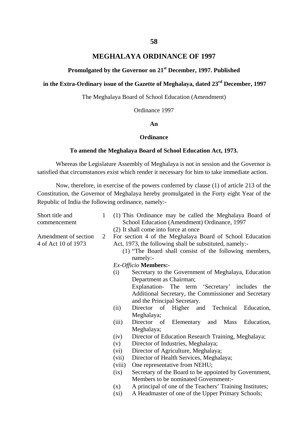#### **MEGHALAYA ORDINANCE OF 1997**

#### **Promulgated by the Governor on 21st December, 1997. Published**

## **in the Extra-Ordinary issue of the Gazette of Meghalaya, dated 23rd December, 1997**

The Meghalaya Board of School Education (Amendment)

Ordinance 1997

#### **An**

#### **Ordinance**

#### **To amend the Meghalaya Board of School Education Act, 1973.**

Whereas the Legislature Assembly of Meghalaya is not in session and the Governor is satisfied that circumstances exist which render it necessary for him to take immediate action.

Now, therefore, in exercise of the powers conferred by clause (1) of article 213 of the Constitution, the Governor of Meghalaya hereby promulgated in the Forty eight Year of the Republic of India the following ordinance, namely:-

| Short title and<br>commencement             | $\mathbf{1}$ | (1) This Ordinance may be called the Meghalaya Board of<br>School Education (Amendment) Ordinance, 1997 |                                                                                                                    |  |  |
|---------------------------------------------|--------------|---------------------------------------------------------------------------------------------------------|--------------------------------------------------------------------------------------------------------------------|--|--|
|                                             |              | (2) It shall come into force at once                                                                    |                                                                                                                    |  |  |
| Amendment of section<br>4 of Act 10 of 1973 | 2            | Act, 1973, the following shall be substituted, namely:-<br>namely:-                                     | For section 4 of the Meghalaya Board of School Education<br>(1) "The Board shall consist of the following members, |  |  |
|                                             |              | Ex-Officio Members:-                                                                                    |                                                                                                                    |  |  |
|                                             |              | (i)                                                                                                     | Secretary to the Government of Meghalaya, Education                                                                |  |  |
|                                             |              | Department as Chairman;                                                                                 |                                                                                                                    |  |  |
|                                             |              |                                                                                                         | Explanation- The term 'Secretary' includes the                                                                     |  |  |
|                                             |              | and the Principal Secretary.                                                                            | Additional Secretary, the Commissioner and Secretary                                                               |  |  |
|                                             |              | Director of Higher and Technical<br>(ii)                                                                | Education,                                                                                                         |  |  |
|                                             |              | Meghalaya;                                                                                              |                                                                                                                    |  |  |
|                                             |              | Director of Elementary and<br>(iii)                                                                     | Mass<br>Education,                                                                                                 |  |  |
|                                             |              | Meghalaya;                                                                                              |                                                                                                                    |  |  |
|                                             |              | (iv)                                                                                                    | Director of Education Research Training, Meghalaya;                                                                |  |  |
|                                             |              | Director of Industries, Meghalaya;<br>(v)                                                               |                                                                                                                    |  |  |
|                                             |              | Director of Agriculture, Meghalaya;<br>(vi)                                                             |                                                                                                                    |  |  |
|                                             |              | Director of Health Services, Meghalaya;<br>(vii)                                                        |                                                                                                                    |  |  |
|                                             |              | One representative from NEHU;<br>(viii)                                                                 |                                                                                                                    |  |  |
|                                             |              | (ix)<br>Members to be nominated Government:-                                                            | Secretary of the Board to be appointed by Government,                                                              |  |  |
|                                             |              | (x)                                                                                                     | A principal of one of the Teachers' Training Institutes;                                                           |  |  |
|                                             |              | $(x_i)$                                                                                                 | A Headmaster of one of the Upper Primary Schools;                                                                  |  |  |